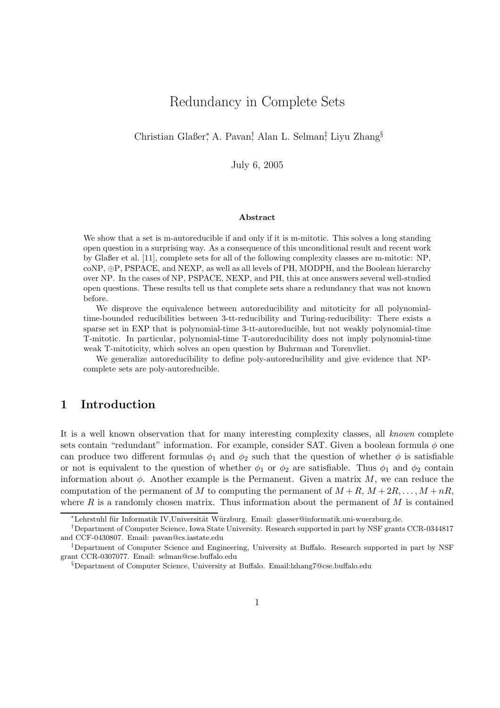# Redundancy in Complete Sets

Christian Glaßer,<sup>∗</sup> A. Pavan<sup>†</sup> Alan L. Selman<sup>†</sup>, Liyu Zhang<sup>§</sup>

July 6, 2005

### Abstract

We show that a set is m-autoreducible if and only if it is m-mitotic. This solves a long standing open question in a surprising way. As a consequence of this unconditional result and recent work by Glaßer et al. [11], complete sets for all of the following complexity classes are m-mitotic: NP, coNP, ⊕P, PSPACE, and NEXP, as well as all levels of PH, MODPH, and the Boolean hierarchy over NP. In the cases of NP, PSPACE, NEXP, and PH, this at once answers several well-studied open questions. These results tell us that complete sets share a redundancy that was not known before.

We disprove the equivalence between autoreducibility and mitoticity for all polynomialtime-bounded reducibilities between 3-tt-reducibility and Turing-reducibility: There exists a sparse set in EXP that is polynomial-time 3-tt-autoreducible, but not weakly polynomial-time T-mitotic. In particular, polynomial-time T-autoreducibility does not imply polynomial-time weak T-mitoticity, which solves an open question by Buhrman and Torenvliet.

We generalize autoreducibility to define poly-autoreducibility and give evidence that NPcomplete sets are poly-autoreducible.

# 1 Introduction

It is a well known observation that for many interesting complexity classes, all known complete sets contain "redundant" information. For example, consider SAT. Given a boolean formula  $\phi$  one can produce two different formulas  $\phi_1$  and  $\phi_2$  such that the question of whether  $\phi$  is satisfiable or not is equivalent to the question of whether  $\phi_1$  or  $\phi_2$  are satisfiable. Thus  $\phi_1$  and  $\phi_2$  contain information about  $\phi$ . Another example is the Permanent. Given a matrix M, we can reduce the computation of the permanent of M to computing the permanent of  $M + R$ ,  $M + 2R$ ,...,  $M + nR$ , where R is a randomly chosen matrix. Thus information about the permanent of M is contained

<sup>\*</sup>Lehrstuhl für Informatik IV,Universität Würzburg. Email: glasser@informatik.uni-wuerzburg.de.

<sup>†</sup>Department of Computer Science, Iowa State University. Research supported in part by NSF grants CCR-0344817 and CCF-0430807. Email: pavan@cs.iastate.edu

<sup>‡</sup>Department of Computer Science and Engineering, University at Buffalo. Research supported in part by NSF grant CCR-0307077. Email: selman@cse.buffalo.edu

<sup>§</sup>Department of Computer Science, University at Buffalo. Email:lzhang7@cse.buffalo.edu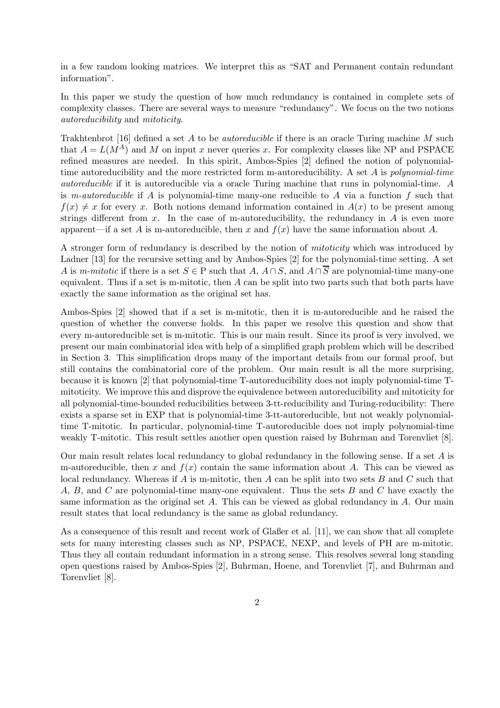in a few random looking matrices. We interpret this as "SAT and Permanent contain redundant information".

In this paper we study the question of how much redundancy is contained in complete sets of complexity classes. There are several ways to measure "redundancy". We focus on the two notions autoreducibility and mitoticity.

Trakhtenbrot [16] defined a set A to be *autoreducible* if there is an oracle Turing machine M such that  $A = L(M^A)$  and M on input x never queries x. For complexity classes like NP and PSPACE refined measures are needed. In this spirit, Ambos-Spies [2] defined the notion of polynomialtime autoreducibility and the more restricted form m-autoreducibility. A set  $\vec{A}$  is polynomial-time autoreducible if it is autoreducible via a oracle Turing machine that runs in polynomial-time. A is m-autoreducible if A is polynomial-time many-one reducible to A via a function f such that  $f(x) \neq x$  for every x. Both notions demand information contained in  $A(x)$  to be present among strings different from x. In the case of m-autoreducibility, the redundancy in  $A$  is even more apparent—if a set A is m-autoreducible, then x and  $f(x)$  have the same information about A.

A stronger form of redundancy is described by the notion of mitoticity which was introduced by Ladner [13] for the recursive setting and by Ambos-Spies [2] for the polynomial-time setting. A set A is m-mitotic if there is a set  $S \in \mathcal{P}$  such that  $A, A \cap S$ , and  $A \cap \overline{S}$  are polynomial-time many-one equivalent. Thus if a set is m-mitotic, then  $A$  can be split into two parts such that both parts have exactly the same information as the original set has.

Ambos-Spies [2] showed that if a set is m-mitotic, then it is m-autoreducible and he raised the question of whether the converse holds. In this paper we resolve this question and show that every m-autoreducible set is m-mitotic. This is our main result. Since its proof is very involved, we present our main combinatorial idea with help of a simplified graph problem which will be described in Section 3. This simplification drops many of the important details from our formal proof, but still contains the combinatorial core of the problem. Our main result is all the more surprising, because it is known [2] that polynomial-time T-autoreducibility does not imply polynomial-time Tmitoticity. We improve this and disprove the equivalence between autoreducibility and mitoticity for all polynomial-time-bounded reducibilities between 3-tt-reducibility and Turing-reducibility: There exists a sparse set in EXP that is polynomial-time 3-tt-autoreducible, but not weakly polynomialtime T-mitotic. In particular, polynomial-time T-autoreducible does not imply polynomial-time weakly T-mitotic. This result settles another open question raised by Buhrman and Torenvliet [8].

Our main result relates local redundancy to global redundancy in the following sense. If a set A is m-autoreducible, then x and  $f(x)$  contain the same information about A. This can be viewed as local redundancy. Whereas if A is m-mitotic, then A can be split into two sets B and C such that A, B, and C are polynomial-time many-one equivalent. Thus the sets B and C have exactly the same information as the original set A. This can be viewed as global redundancy in A. Our main result states that local redundancy is the same as global redundancy.

As a consequence of this result and recent work of Glaßer et al. [11], we can show that all complete sets for many interesting classes such as NP, PSPACE, NEXP, and levels of PH are m-mitotic. Thus they all contain redundant information in a strong sense. This resolves several long standing open questions raised by Ambos-Spies [2], Buhrman, Hoene, and Torenvliet [7], and Buhrman and Torenvliet [8].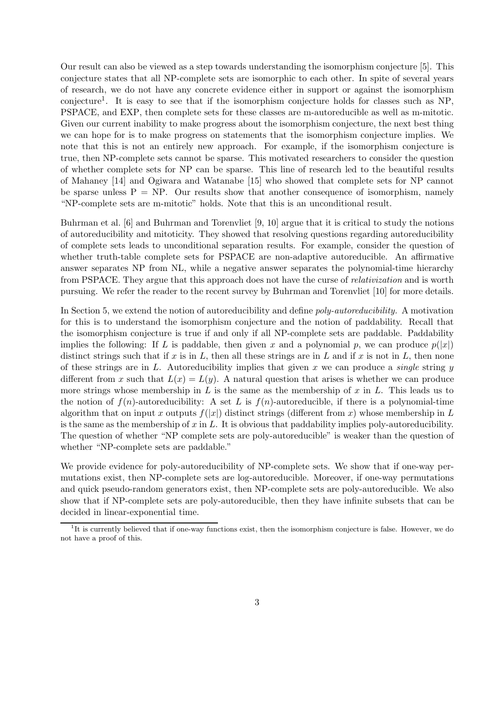Our result can also be viewed as a step towards understanding the isomorphism conjecture [5]. This conjecture states that all NP-complete sets are isomorphic to each other. In spite of several years of research, we do not have any concrete evidence either in support or against the isomorphism conjecture<sup>1</sup>. It is easy to see that if the isomorphism conjecture holds for classes such as NP, PSPACE, and EXP, then complete sets for these classes are m-autoreducible as well as m-mitotic. Given our current inability to make progress about the isomorphism conjecture, the next best thing we can hope for is to make progress on statements that the isomorphism conjecture implies. We note that this is not an entirely new approach. For example, if the isomorphism conjecture is true, then NP-complete sets cannot be sparse. This motivated researchers to consider the question of whether complete sets for NP can be sparse. This line of research led to the beautiful results of Mahaney [14] and Ogiwara and Watanabe [15] who showed that complete sets for NP cannot be sparse unless  $P = NP$ . Our results show that another consequence of isomorphism, namely "NP-complete sets are m-mitotic" holds. Note that this is an unconditional result.

Buhrman et al. [6] and Buhrman and Torenvliet [9, 10] argue that it is critical to study the notions of autoreducibility and mitoticity. They showed that resolving questions regarding autoreducibility of complete sets leads to unconditional separation results. For example, consider the question of whether truth-table complete sets for PSPACE are non-adaptive autoreducible. An affirmative answer separates NP from NL, while a negative answer separates the polynomial-time hierarchy from PSPACE. They argue that this approach does not have the curse of relativization and is worth pursuing. We refer the reader to the recent survey by Buhrman and Torenvliet [10] for more details.

In Section 5, we extend the notion of autoreducibility and define *poly-autoreducibility*. A motivation for this is to understand the isomorphism conjecture and the notion of paddability. Recall that the isomorphism conjecture is true if and only if all NP-complete sets are paddable. Paddability implies the following: If L is paddable, then given x and a polynomial p, we can produce  $p(|x|)$ distinct strings such that if x is in  $L$ , then all these strings are in  $L$  and if x is not in  $L$ , then none of these strings are in L. Autoreducibility implies that given x we can produce a *single* string y different from x such that  $L(x) = L(y)$ . A natural question that arises is whether we can produce more strings whose membership in  $L$  is the same as the membership of  $x$  in  $L$ . This leads us to the notion of  $f(n)$ -autoreducibility: A set L is  $f(n)$ -autoreducible, if there is a polynomial-time algorithm that on input x outputs  $f(|x|)$  distinct strings (different from x) whose membership in L is the same as the membership of  $x$  in  $L$ . It is obvious that paddability implies poly-autoreducibility. The question of whether "NP complete sets are poly-autoreducible" is weaker than the question of whether "NP-complete sets are paddable."

We provide evidence for poly-autoreducibility of NP-complete sets. We show that if one-way permutations exist, then NP-complete sets are log-autoreducible. Moreover, if one-way permutations and quick pseudo-random generators exist, then NP-complete sets are poly-autoreducible. We also show that if NP-complete sets are poly-autoreducible, then they have infinite subsets that can be decided in linear-exponential time.

<sup>&</sup>lt;sup>1</sup>It is currently believed that if one-way functions exist, then the isomorphism conjecture is false. However, we do not have a proof of this.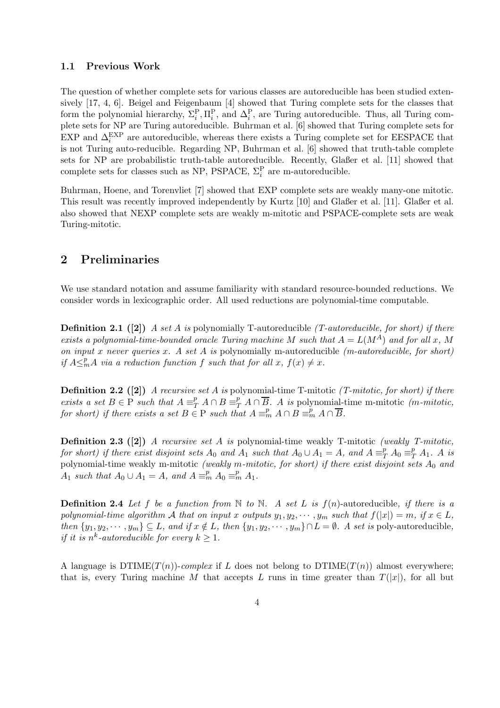### 1.1 Previous Work

The question of whether complete sets for various classes are autoreducible has been studied extensively [17, 4, 6]. Beigel and Feigenbaum [4] showed that Turing complete sets for the classes that form the polynomial hierarchy,  $\Sigma_i^{\text{P}}, \Pi_i^{\text{P}}$ , and  $\Delta_i^{\text{P}}$ , are Turing autoreducible. Thus, all Turing complete sets for NP are Turing autoreducible. Buhrman et al. [6] showed that Turing complete sets for EXP and  $\Delta_i^{\text{EXP}}$  are autoreducible, whereas there exists a Turing complete set for EESPACE that is not Turing auto-reducible. Regarding NP, Buhrman et al. [6] showed that truth-table complete sets for NP are probabilistic truth-table autoreducible. Recently, Glaßer et al. [11] showed that complete sets for classes such as NP, PSPACE,  $\Sigma_i^{\text{P}}$  are m-autoreducible.

Buhrman, Hoene, and Torenvliet [7] showed that EXP complete sets are weakly many-one mitotic. This result was recently improved independently by Kurtz [10] and Glaßer et al. [11]. Glaßer et al. also showed that NEXP complete sets are weakly m-mitotic and PSPACE-complete sets are weak Turing-mitotic.

# 2 Preliminaries

We use standard notation and assume familiarity with standard resource-bounded reductions. We consider words in lexicographic order. All used reductions are polynomial-time computable.

**Definition 2.1** ([2]) A set A is polynomially T-autoreducible (*T-autoreducible, for short*) if there exists a polynomial-time-bounded oracle Turing machine M such that  $A = L(M^A)$  and for all x, M on input x never queries x. A set A is polynomially m-autoreducible (m-autoreducible, for short) if  $A \leq^p m A$  via a reduction function f such that for all  $x, f(x) \neq x$ .

**Definition 2.2** ([2]) A recursive set A is polynomial-time T-mitotic (*T-mitotic, for short*) if there exists a set  $B \in \overline{P}$  such that  $A \equiv_T^p A \cap \overline{B} =_T^p A \cap \overline{B}$ . A is polynomial-time m-mitotic (*m-mitotic*, for short) if there exists a set  $B \in \mathcal{P}$  such that  $A \equiv_m^p A \cap \overline{B} \equiv_m^p A \cap \overline{B}$ .

**Definition 2.3 (2)** A recursive set A is polynomial-time weakly T-mitotic (weakly T-mitotic, for short) if there exist disjoint sets  $A_0$  and  $A_1$  such that  $A_0 \cup A_1 = A$ , and  $A \equiv_T^p A_0 \equiv_T^p A_1$ . A is polynomial-time weakly m-mitotic (weakly m-mitotic, for short) if there exist disjoint sets  $A_0$  and  $A_1$  such that  $A_0 \cup A_1 = A$ , and  $A \equiv_m^p A_0 \equiv_m^p A_1$ .

**Definition 2.4** Let f be a function from  $\mathbb N$  to  $\mathbb N$ . A set L is  $f(n)$ -autoreducible, if there is a polynomial-time algorithm A that on input x outputs  $y_1, y_2, \dots, y_m$  such that  $f(|x|) = m$ , if  $x \in L$ , then  $\{y_1, y_2, \dots, y_m\} \subseteq L$ , and if  $x \notin L$ , then  $\{y_1, y_2, \dots, y_m\} \cap L = \emptyset$ . A set is poly-autoreducible, if it is  $n^k$ -autoreducible for every  $k \geq 1$ .

A language is  $DTIME(T(n))$ -complex if L does not belong to  $DTIME(T(n))$  almost everywhere; that is, every Turing machine M that accepts L runs in time greater than  $T(|x|)$ , for all but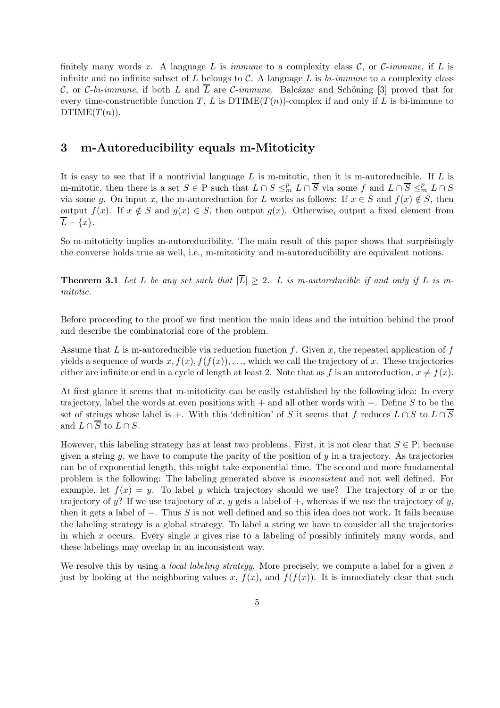finitely many words x. A language L is immune to a complexity class  $\mathcal{C}$ , or  $\mathcal{C}\text{-}\text{immune}$ , if L is infinite and no infinite subset of  $L$  belongs to  $C$ . A language  $L$  is bi-immune to a complexity class C, or C-bi-immune, if both L and  $\overline{L}$  are C-immune. Balcázar and Schöning [3] proved that for every time-constructible function T, L is  $DTIME(T(n))$ -complex if and only if L is bi-immune to  $DTIME(T(n)).$ 

# 3 m-Autoreducibility equals m-Mitoticity

It is easy to see that if a nontrivial language  $L$  is m-mitotic, then it is m-autoreducible. If  $L$  is m-mitotic, then there is a set  $S \in \mathcal{P}$  such that  $L \cap S \leq^p_m L \cap \overline{S}$  via some f and  $L \cap \overline{S} \leq^p_m L \cap S$ via some g. On input x, the m-autoreduction for L works as follows: If  $x \in S$  and  $f(x) \notin S$ , then output  $f(x)$ . If  $x \notin S$  and  $g(x) \in S$ , then output  $g(x)$ . Otherwise, output a fixed element from  $L - \{x\}.$ 

So m-mitoticity implies m-autoreducibility. The main result of this paper shows that surprisingly the converse holds true as well, i.e., m-mitoticity and m-autoreducibility are equivalent notions.

**Theorem 3.1** Let L be any set such that  $|\overline{L}| \geq 2$ . L is m-autoreducible if and only if L is mmitotic.

Before proceeding to the proof we first mention the main ideas and the intuition behind the proof and describe the combinatorial core of the problem.

Assume that L is m-autoreducible via reduction function f. Given x, the repeated application of f yields a sequence of words  $x, f(x), f(f(x)), \ldots$ , which we call the trajectory of x. These trajectories either are infinite or end in a cycle of length at least 2. Note that as f is an autoreduction,  $x \neq f(x)$ .

At first glance it seems that m-mitoticity can be easily established by the following idea: In every trajectory, label the words at even positions with  $+$  and all other words with  $-$ . Define S to be the set of strings whose label is +. With this 'definition' of S it seems that f reduces  $L \cap S$  to  $L \cap \overline{S}$ and  $L \cap \overline{S}$  to  $L \cap S$ .

However, this labeling strategy has at least two problems. First, it is not clear that  $S \in \mathcal{P}$ ; because given a string  $y$ , we have to compute the parity of the position of  $y$  in a trajectory. As trajectories can be of exponential length, this might take exponential time. The second and more fundamental problem is the following: The labeling generated above is inconsistent and not well defined. For example, let  $f(x) = y$ . To label y which trajectory should we use? The trajectory of x or the trajectory of y? If we use trajectory of x, y gets a label of  $+$ , whereas if we use the trajectory of y, then it gets a label of −. Thus S is not well defined and so this idea does not work. It fails because the labeling strategy is a global strategy. To label a string we have to consider all the trajectories in which x occurs. Every single x gives rise to a labeling of possibly infinitely many words, and these labelings may overlap in an inconsistent way.

We resolve this by using a *local labeling strategy*. More precisely, we compute a label for a given x just by looking at the neighboring values x,  $f(x)$ , and  $f(f(x))$ . It is immediately clear that such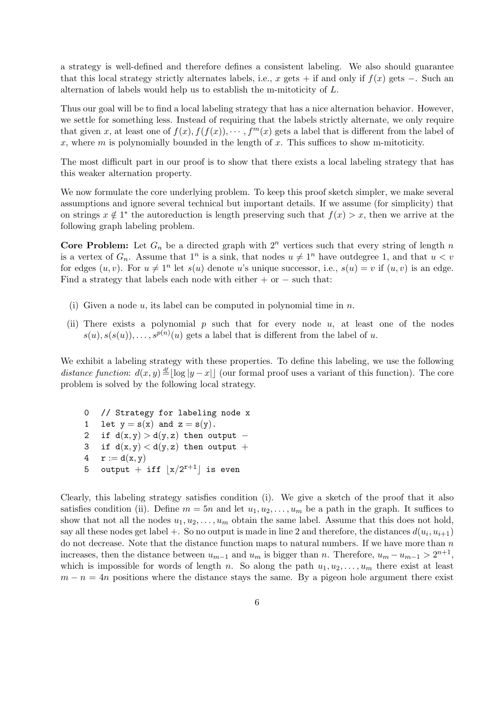a strategy is well-defined and therefore defines a consistent labeling. We also should guarantee that this local strategy strictly alternates labels, i.e., x gets + if and only if  $f(x)$  gets –. Such an alternation of labels would help us to establish the m-mitoticity of L.

Thus our goal will be to find a local labeling strategy that has a nice alternation behavior. However, we settle for something less. Instead of requiring that the labels strictly alternate, we only require that given x, at least one of  $f(x)$ ,  $f(f(x))$ ,  $\cdots$ ,  $f^{m}(x)$  gets a label that is different from the label of x, where  $m$  is polynomially bounded in the length of  $x$ . This suffices to show m-mitoticity.

The most difficult part in our proof is to show that there exists a local labeling strategy that has this weaker alternation property.

We now formulate the core underlying problem. To keep this proof sketch simpler, we make several assumptions and ignore several technical but important details. If we assume (for simplicity) that on strings  $x \notin 1^*$  the autoreduction is length preserving such that  $f(x) > x$ , then we arrive at the following graph labeling problem.

**Core Problem:** Let  $G_n$  be a directed graph with  $2^n$  vertices such that every string of length n is a vertex of  $G_n$ . Assume that  $1^n$  is a sink, that nodes  $u \neq 1^n$  have outdegree 1, and that  $u < v$ for edges  $(u, v)$ . For  $u \neq 1^n$  let  $s(u)$  denote u's unique successor, i.e.,  $s(u) = v$  if  $(u, v)$  is an edge. Find a strategy that labels each node with either  $+$  or  $-$  such that:

- (i) Given a node  $u$ , its label can be computed in polynomial time in  $n$ .
- (ii) There exists a polynomial  $p$  such that for every node  $u$ , at least one of the nodes  $s(u), s(s(u)), \ldots, s^{p(n)}(u)$  gets a label that is different from the label of u.

We exhibit a labeling strategy with these properties. To define this labeling, we use the following distance function:  $d(x, y) \stackrel{df}{=} \lfloor \log |y - x| \rfloor$  (our formal proof uses a variant of this function). The core problem is solved by the following local strategy.

0 // Strategy for labeling node x 1 let  $y = s(x)$  and  $z = s(y)$ . 2 if  $d(x, y) > d(y, z)$  then output -<br>3 if  $d(x, y) < d(y, z)$  then output + if  $d(x, y) < d(y, z)$  then output + 4  $r := d(x, y)$ 5 output  $+$  iff  $\lfloor x/2^{r+1} \rfloor$  is even

Clearly, this labeling strategy satisfies condition (i). We give a sketch of the proof that it also satisfies condition (ii). Define  $m = 5n$  and let  $u_1, u_2, \ldots, u_m$  be a path in the graph. It suffices to show that not all the nodes  $u_1, u_2, \ldots, u_m$  obtain the same label. Assume that this does not hold, say all these nodes get label +. So no output is made in line 2 and therefore, the distances  $d(u_i, u_{i+1})$ do not decrease. Note that the distance function maps to natural numbers. If we have more than  $n$ increases, then the distance between  $u_{m-1}$  and  $u_m$  is bigger than n. Therefore,  $u_m - u_{m-1} > 2^{n+1}$ , which is impossible for words of length n. So along the path  $u_1, u_2, \ldots, u_m$  there exist at least  $m - n = 4n$  positions where the distance stays the same. By a pigeon hole argument there exist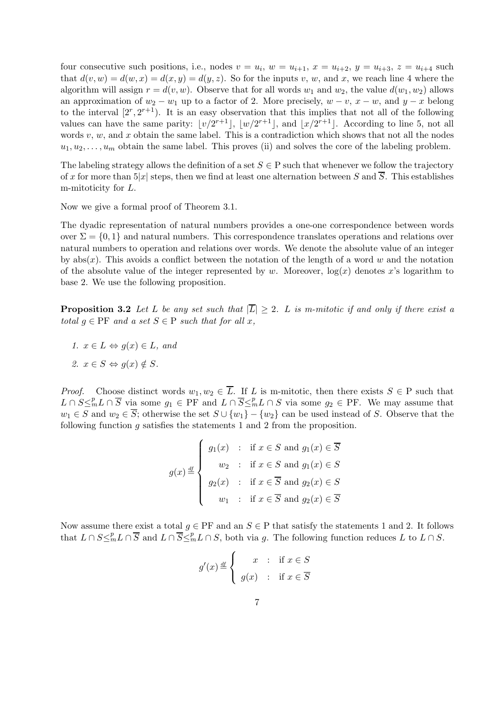four consecutive such positions, i.e., nodes  $v = u_i$ ,  $w = u_{i+1}$ ,  $x = u_{i+2}$ ,  $y = u_{i+3}$ ,  $z = u_{i+4}$  such that  $d(v, w) = d(w, x) = d(x, y) = d(y, z)$ . So for the inputs v, w, and x, we reach line 4 where the algorithm will assign  $r = d(v, w)$ . Observe that for all words  $w_1$  and  $w_2$ , the value  $d(w_1, w_2)$  allows an approximation of  $w_2 - w_1$  up to a factor of 2. More precisely,  $w - v$ ,  $x - w$ , and  $y - x$  belong to the interval  $[2^r, 2^{r+1})$ . It is an easy observation that this implies that not all of the following values can have the same parity:  $\lfloor v/2^{r+1} \rfloor$ ,  $\lfloor w/2^{r+1} \rfloor$ , and  $\lfloor x/2^{r+1} \rfloor$ . According to line 5, not all words  $v, w$ , and  $x$  obtain the same label. This is a contradiction which shows that not all the nodes  $u_1, u_2, \ldots, u_m$  obtain the same label. This proves (ii) and solves the core of the labeling problem.

The labeling strategy allows the definition of a set  $S \in \mathcal{P}$  such that whenever we follow the trajectory of x for more than  $5|x|$  steps, then we find at least one alternation between S and  $\overline{S}$ . This establishes m-mitoticity for L.

Now we give a formal proof of Theorem 3.1.

The dyadic representation of natural numbers provides a one-one correspondence between words over  $\Sigma = \{0,1\}$  and natural numbers. This correspondence translates operations and relations over natural numbers to operation and relations over words. We denote the absolute value of an integer by abs(x). This avoids a conflict between the notation of the length of a word w and the notation of the absolute value of the integer represented by w. Moreover,  $log(x)$  denotes x's logarithm to base 2. We use the following proposition.

**Proposition 3.2** Let L be any set such that  $|\overline{L}| \geq 2$ . L is m-mitotic if and only if there exist a total  $g \in \text{PF}$  and a set  $S \in \text{P}$  such that for all x,

- 1.  $x \in L \Leftrightarrow q(x) \in L$ , and
- 2.  $x \in S \Leftrightarrow a(x) \notin S$ .

*Proof.* Choose distinct words  $w_1, w_2 \in \overline{L}$ . If L is m-mitotic, then there exists  $S \in \mathcal{P}$  such that  $L \cap S \leq^p_m L \cap \overline{S}$  via some  $g_1 \in \text{PF}$  and  $L \cap \overline{S} \leq^p_m L \cap S$  via some  $g_2 \in \text{PF}$ . We may assume that  $w_1 \in S$  and  $w_2 \in \overline{S}$ ; otherwise the set  $S \cup \{w_1\} - \{w_2\}$  can be used instead of S. Observe that the following function g satisfies the statements 1 and 2 from the proposition.

$$
g(x) \stackrel{df}{=} \begin{cases} g_1(x) & : \text{if } x \in S \text{ and } g_1(x) \in \overline{S} \\ w_2 & : \text{if } x \in S \text{ and } g_1(x) \in S \\ g_2(x) & : \text{if } x \in \overline{S} \text{ and } g_2(x) \in S \\ w_1 & : \text{if } x \in \overline{S} \text{ and } g_2(x) \in \overline{S} \end{cases}
$$

Now assume there exist a total  $q \in PF$  and an  $S \in P$  that satisfy the statements 1 and 2. It follows that  $L \cap S \leq^p_m L \cap \overline{S} \leq^p_m L \cap S$ , both via g. The following function reduces  $L$  to  $L \cap S$ .

$$
g'(x) \stackrel{\text{df}}{=} \begin{cases} x & : & \text{if } x \in S \\ g(x) & : & \text{if } x \in \overline{S} \end{cases}
$$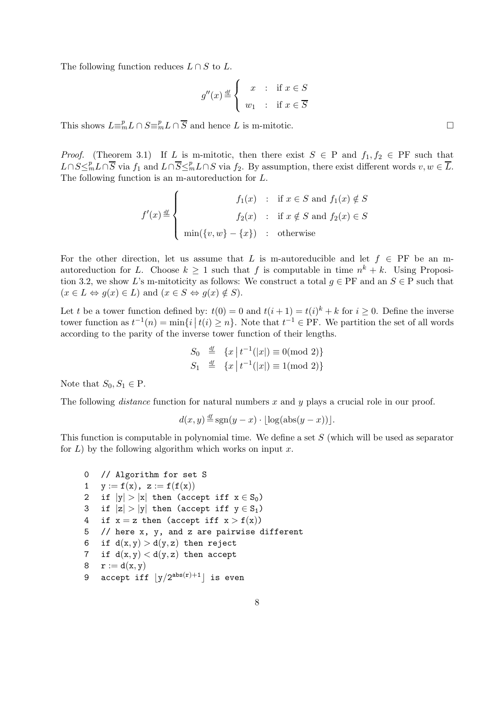The following function reduces  $L \cap S$  to  $L$ .

$$
g''(x) \stackrel{df}{=} \begin{cases} x & \text{: if } x \in S \\ w_1 & \text{: if } x \in \overline{S} \end{cases}
$$

This shows  $L \equiv_m^p L \cap \overline{S}$  and hence L is m-mitotic.  $\square$ 

*Proof.* (Theorem 3.1) If L is m-mitotic, then there exist  $S \in P$  and  $f_1, f_2 \in PF$  such that  $L \cap S \leq^p_m L \cap \overline{S}$  via  $f_1$  and  $L \cap \overline{S} \leq^p_m L \cap S$  via  $f_2$ . By assumption, there exist different words  $v, w \in \overline{L}$ . The following function is an m-autoreduction for L.

$$
f'(x) \stackrel{\text{df}}{=} \begin{cases} \n\qquad & \text{if } x \in S \text{ and } f_1(x) \notin S \\ \nf_2(x) & \text{if } x \notin S \text{ and } f_2(x) \in S \\ \min(\{v, w\} - \{x\}) & \text{otherwise} \n\end{cases}
$$

For the other direction, let us assume that L is m-autoreducible and let  $f \in PF$  be an mautoreduction for L. Choose  $k \geq 1$  such that f is computable in time  $n^k + k$ . Using Proposition 3.2, we show L's m-mitoticity as follows: We construct a total  $q \in \text{PF}$  and an  $S \in \text{P}$  such that  $(x \in L \Leftrightarrow q(x) \in L)$  and  $(x \in S \Leftrightarrow q(x) \notin S)$ .

Let t be a tower function defined by:  $t(0) = 0$  and  $t(i + 1) = t(i)^k + k$  for  $i \ge 0$ . Define the inverse tower function as  $t^{-1}(n) = \min\{i \mid t(i) \geq n\}$ . Note that  $t^{-1} \in \text{PF}$ . We partition the set of all words according to the parity of the inverse tower function of their lengths.

$$
S_0 \stackrel{\text{df}}{=} \{x \mid t^{-1}(|x|) \equiv 0 \pmod{2} \}
$$
  

$$
S_1 \stackrel{\text{df}}{=} \{x \mid t^{-1}(|x|) \equiv 1 \pmod{2} \}
$$

Note that  $S_0, S_1 \in \mathcal{P}$ .

The following *distance* function for natural numbers  $x$  and  $y$  plays a crucial role in our proof.

 $d(x, y) \stackrel{df}{=} \text{sgn}(y - x) \cdot \lfloor \log(\text{abs}(y - x)) \rfloor.$ 

This function is computable in polynomial time. We define a set S (which will be used as separator for  $L$ ) by the following algorithm which works on input x.

```
0 // Algorithm for set S
1 y := f(x), z := f(f(x))2 if |y| > |x| then (accept iff x \in S_0)<br>3 if |z| > |y| then (accept iff y \in S_1)
3 if |z| > |y| then (accept iff y \in S_1)<br>4 if x = z then (accept iff x > f(x))
    if x = z then (accept iff x > f(x))
5 // here x, y, and z are pairwise different
6 if d(x, y) > d(y, z) then reject
7 if d(x, y) < d(y, z) then accept
8 r := d(x, y)9 \left[ \frac{y}{2^{abs(r)+1}} \right] is even
```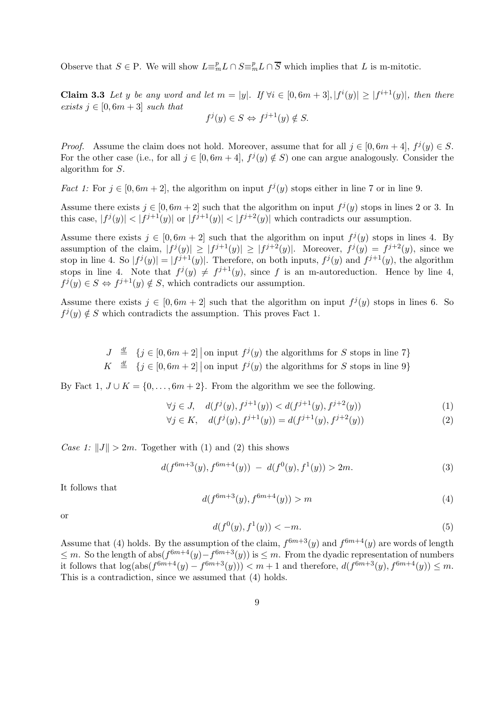Observe that  $S \in \mathcal{P}$ . We will show  $L \equiv_m^n L \cap S \equiv_m^n L \cap \overline{S}$  which implies that L is m-mitotic.

**Claim 3.3** Let y be any word and let  $m = |y|$ . If  $\forall i \in [0, 6m + 3], |f^i(y)| \geq |f^{i+1}(y)|$ , then there exists  $j \in [0, 6m + 3]$  such that

$$
f^j(y) \in S \Leftrightarrow f^{j+1}(y) \notin S.
$$

*Proof.* Assume the claim does not hold. Moreover, assume that for all  $j \in [0, 6m + 4]$ ,  $f^j(y) \in S$ . For the other case (i.e., for all  $j \in [0, 6m + 4]$ ,  $f^j(y) \notin S$ ) one can argue analogously. Consider the algorithm for S.

*Fact 1:* For  $j \in [0, 6m + 2]$ , the algorithm on input  $f^j(y)$  stops either in line 7 or in line 9.

Assume there exists  $j \in [0, 6m + 2]$  such that the algorithm on input  $f^j(y)$  stops in lines 2 or 3. In this case,  $|f^j(y)| < |f^{j+1}(y)|$  or  $|f^{j+1}(y)| < |f^{j+2}(y)|$  which contradicts our assumption.

Assume there exists  $j \in [0, 6m + 2]$  such that the algorithm on input  $f^j(y)$  stops in lines 4. By assumption of the claim,  $|f^j(y)| \geq |f^{j+1}(y)| \geq |f^{j+2}(y)|$ . Moreover,  $f^j(y) = f^{j+2}(y)$ , since we stop in line 4. So  $|f^j(y)| = |f^{j+1}(y)|$ . Therefore, on both inputs,  $f^j(y)$  and  $f^{j+1}(y)$ , the algorithm stops in line 4. Note that  $f^j(y) \neq f^{j+1}(y)$ , since f is an m-autoreduction. Hence by line 4,  $f^j(y) \in S \Leftrightarrow f^{j+1}(y) \notin S$ , which contradicts our assumption.

Assume there exists  $j \in [0, 6m + 2]$  such that the algorithm on input  $f^j(y)$  stops in lines 6. So  $f^j(y) \notin S$  which contradicts the assumption. This proves Fact 1.

 $J \stackrel{\text{df}}{=} \{j \in [0, 6m + 2] \mid \text{on input } f^j(y) \text{ the algorithms for } S \text{ stops in line 7}\}\$ 

 $K \stackrel{\text{df}}{=} \{j \in [0, 6m + 2] \mid \text{on input } f^j(y) \text{ the algorithms for } S \text{ stops in line } 9\}$ 

By Fact 1,  $J \cup K = \{0, \ldots, 6m + 2\}$ . From the algorithm we see the following.

$$
\forall j \in J, \quad d(f^j(y), f^{j+1}(y)) < d(f^{j+1}(y), f^{j+2}(y)) \tag{1}
$$

$$
\forall j \in K, \quad d(f^j(y), f^{j+1}(y)) = d(f^{j+1}(y), f^{j+2}(y)) \tag{2}
$$

Case 1:  $||J|| > 2m$ . Together with (1) and (2) this shows

$$
d(f^{6m+3}(y), f^{6m+4}(y)) - d(f^0(y), f^1(y)) > 2m.
$$
 (3)

It follows that

$$
d(f^{6m+3}(y), f^{6m+4}(y)) > m \tag{4}
$$

or

$$
d(f^{0}(y), f^{1}(y)) < -m.
$$
 (5)

Assume that (4) holds. By the assumption of the claim,  $f^{6m+3}(y)$  and  $f^{6m+4}(y)$  are words of length  $\leq m$ . So the length of abs $(f^{6m+4}(y) - f^{6m+3}(y))$  is  $\leq m$ . From the dyadic representation of numbers it follows that  $\log(\text{abs}(f^{6m+4}(y) - f^{6m+3}(y))) < m+1$  and therefore,  $d(f^{6m+3}(y), f^{6m+4}(y)) \leq m$ . This is a contradiction, since we assumed that (4) holds.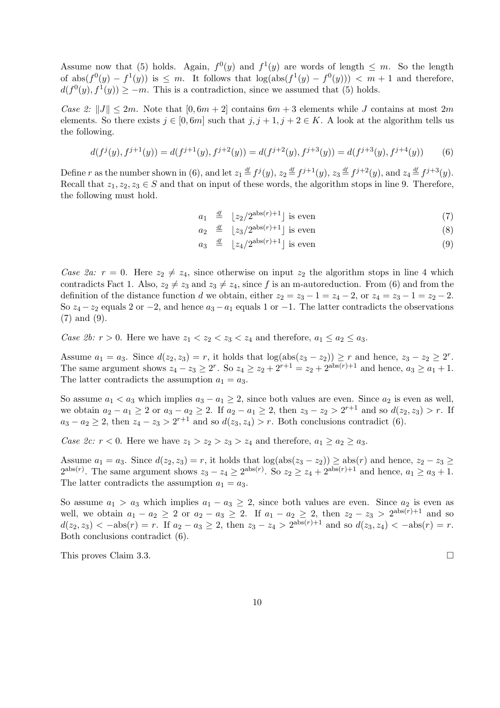Assume now that (5) holds. Again,  $f^0(y)$  and  $f^1(y)$  are words of length  $\leq m$ . So the length of  $\text{abs}(f^0(y) - f^1(y))$  is  $\leq m$ . It follows that  $\log(\text{abs}(f^1(y) - f^0(y))) < m + 1$  and therefore,  $d(f^0(y), f^1(y)) \ge -m$ . This is a contradiction, since we assumed that (5) holds.

Case 2:  $||J|| \le 2m$ . Note that  $[0, 6m + 2]$  contains  $6m + 3$  elements while J contains at most  $2m$ elements. So there exists  $j \in [0, 6m]$  such that  $j, j + 1, j + 2 \in K$ . A look at the algorithm tells us the following.

$$
d(f^{j}(y), f^{j+1}(y)) = d(f^{j+1}(y), f^{j+2}(y)) = d(f^{j+2}(y), f^{j+3}(y)) = d(f^{j+3}(y), f^{j+4}(y))
$$
(6)

Define r as the number shown in (6), and let  $z_1 \stackrel{\text{df}}{=} f^j(y)$ ,  $z_2 \stackrel{\text{df}}{=} f^{j+1}(y)$ ,  $z_3 \stackrel{\text{df}}{=} f^{j+2}(y)$ , and  $z_4 \stackrel{\text{df}}{=} f^{j+3}(y)$ . Recall that  $z_1, z_2, z_3 \in S$  and that on input of these words, the algorithm stops in line 9. Therefore, the following must hold.

$$
a_1 \stackrel{\text{df}}{=} \lfloor z_2 / 2^{\text{abs}(r) + 1} \rfloor \text{ is even} \tag{7}
$$

$$
a_2 \stackrel{\text{df}}{=} \lfloor z_3/2^{\text{abs}(r)+1} \rfloor \text{ is even} \tag{8}
$$

$$
a_3 \stackrel{\text{df}}{=} \lfloor z_4/2^{\text{abs}(r)+1} \rfloor \text{ is even} \tag{9}
$$

Case 2a:  $r = 0$ . Here  $z_2 \neq z_4$ , since otherwise on input  $z_2$  the algorithm stops in line 4 which contradicts Fact 1. Also,  $z_2 \neq z_3$  and  $z_3 \neq z_4$ , since f is an m-autoreduction. From (6) and from the definition of the distance function d we obtain, either  $z_2 = z_3 - 1 = z_4 - 2$ , or  $z_4 = z_3 - 1 = z_2 - 2$ . So  $z_4 - z_2$  equals 2 or  $-2$ , and hence  $a_3 - a_1$  equals 1 or  $-1$ . The latter contradicts the observations (7) and (9).

Case 2b:  $r > 0$ . Here we have  $z_1 < z_2 < z_3 < z_4$  and therefore,  $a_1 \le a_2 \le a_3$ .

Assume  $a_1 = a_3$ . Since  $d(z_2, z_3) = r$ , it holds that  $\log(\text{abs}(z_3 - z_2)) \geq r$  and hence,  $z_3 - z_2 \geq 2^r$ . The same argument shows  $z_4 - z_3 \ge 2^r$ . So  $z_4 \ge z_2 + 2^{r+1} = z_2 + 2^{\text{abs}(r)+1}$  and hence,  $a_3 \ge a_1 + 1$ . The latter contradicts the assumption  $a_1 = a_3$ .

So assume  $a_1 < a_3$  which implies  $a_3 - a_1 \geq 2$ , since both values are even. Since  $a_2$  is even as well, we obtain  $a_2 - a_1 \geq 2$  or  $a_3 - a_2 \geq 2$ . If  $a_2 - a_1 \geq 2$ , then  $z_3 - z_2 > 2^{r+1}$  and so  $d(z_2, z_3) > r$ . If  $a_3 - a_2 \geq 2$ , then  $z_4 - z_3 > 2^{r+1}$  and so  $d(z_3, z_4) > r$ . Both conclusions contradict (6).

Case 2c:  $r < 0$ . Here we have  $z_1 > z_2 > z_3 > z_4$  and therefore,  $a_1 \ge a_2 \ge a_3$ .

Assume  $a_1 = a_3$ . Since  $d(z_2, z_3) = r$ , it holds that  $\log(\text{abs}(z_3 - z_2)) \ge \text{abs}(r)$  and hence,  $z_2 - z_3 \ge$  $2^{\text{abs}(r)}$ . The same argument shows  $z_3 - z_4 \geq 2^{\text{abs}(r)}$ . So  $z_2 \geq z_4 + 2^{\text{abs}(r)+1}$  and hence,  $a_1 \geq a_3 + 1$ . The latter contradicts the assumption  $a_1 = a_3$ .

So assume  $a_1 > a_3$  which implies  $a_1 - a_3 \geq 2$ , since both values are even. Since  $a_2$  is even as well, we obtain  $a_1 - a_2 \geq 2$  or  $a_2 - a_3 \geq 2$ . If  $a_1 - a_2 \geq 2$ , then  $z_2 - z_3 > 2^{\text{abs}(r)+1}$  and so  $d(z_2, z_3) < -\text{abs}(r) = r$ . If  $a_2 - a_3 \geq 2$ , then  $z_3 - z_4 > 2^{\text{abs}(r)+1}$  and so  $d(z_3, z_4) < -\text{abs}(r) = r$ . Both conclusions contradict (6).

This proves Claim 3.3.  $\Box$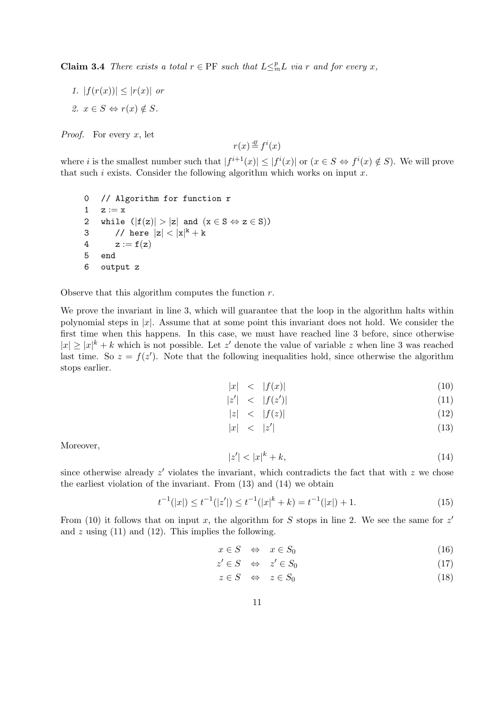**Claim 3.4** There exists a total  $r \in \text{PF}$  such that  $L \leq_{m}^{p} L$  via r and for every x,

1.  $|f(r(x))| < |r(x)|$  or 2.  $x \in S \Leftrightarrow r(x) \notin S$ .

*Proof.* For every  $x$ , let

$$
r(x) \stackrel{\text{df}}{=} f^i(x)
$$

where *i* is the smallest number such that  $|f^{i+1}(x)| \leq |f^{i}(x)|$  or  $(x \in S \Leftrightarrow f^{i}(x) \notin S)$ . We will prove that such  $i$  exists. Consider the following algorithm which works on input  $x$ .

```
0 // Algorithm for function r
1 \quad z := x2 while (|f(z)| > |z| and (x \in S \Leftrightarrow z \in S))<br>3 // here |z| < |x|^k + k3 // here |z| < |x|^{k} + k4 z := f(z)5 end
6 output z
```
Observe that this algorithm computes the function  $r$ .

We prove the invariant in line 3, which will guarantee that the loop in the algorithm halts within polynomial steps in  $|x|$ . Assume that at some point this invariant does not hold. We consider the first time when this happens. In this case, we must have reached line 3 before, since otherwise  $|x| \ge |x|^k + k$  which is not possible. Let z' denote the value of variable z when line 3 was reached last time. So  $z = f(z')$ . Note that the following inequalities hold, since otherwise the algorithm stops earlier.

$$
|x| < |f(x)| \tag{10}
$$

$$
|z'| \quad < \quad |f(z')| \tag{11}
$$

$$
|z| < |f(z)| \tag{12}
$$
\n
$$
|x| < |z'| \tag{13}
$$

$$
|x| < |z'| \tag{13}
$$

Moreover,

$$
|z'| < |x|^k + k,\tag{14}
$$

since otherwise already  $z'$  violates the invariant, which contradicts the fact that with  $z$  we chose the earliest violation of the invariant. From (13) and (14) we obtain

$$
t^{-1}(|x|) \le t^{-1}(|z'|) \le t^{-1}(|x|^k + k) = t^{-1}(|x|) + 1.
$$
\n(15)

From (10) it follows that on input x, the algorithm for S stops in line 2. We see the same for  $z'$ and  $z$  using (11) and (12). This implies the following.

$$
x \in S \quad \Leftrightarrow \quad x \in S_0 \tag{16}
$$

$$
z' \in S \quad \Leftrightarrow \quad z' \in S_0 \tag{17}
$$

$$
z \in S \quad \Leftrightarrow \quad z \in S_0 \tag{18}
$$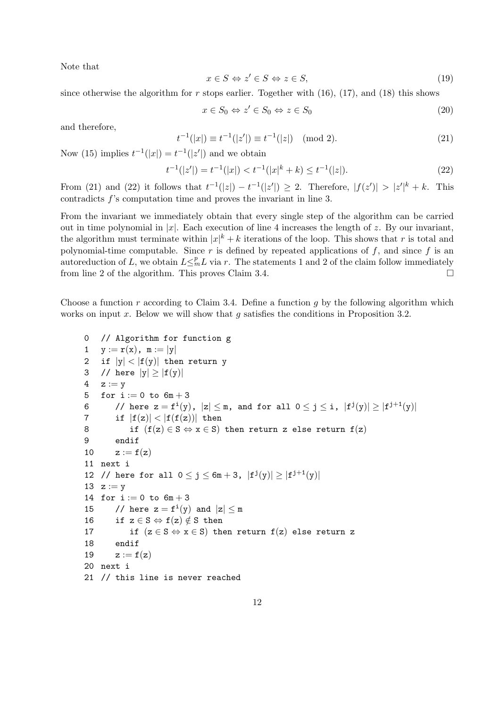Note that

$$
x \in S \Leftrightarrow z' \in S \Leftrightarrow z \in S,\tag{19}
$$

since otherwise the algorithm for  $r$  stops earlier. Together with  $(16)$ ,  $(17)$ , and  $(18)$  this shows

$$
x \in S_0 \Leftrightarrow z' \in S_0 \Leftrightarrow z \in S_0 \tag{20}
$$

and therefore,

$$
t^{-1}(|x|) \equiv t^{-1}(|z'|) \equiv t^{-1}(|z|) \pmod{2}.
$$
 (21)

Now (15) implies  $t^{-1}(|x|) = t^{-1}(|z'|)$  and we obtain

$$
t^{-1}(|z'|) = t^{-1}(|x|) < t^{-1}(|x|^k + k) \leq t^{-1}(|z|). \tag{22}
$$

From (21) and (22) it follows that  $t^{-1}(|z|) - t^{-1}(|z'|) \geq 2$ . Therefore,  $|f(z')| > |z'|^k + k$ . This contradicts f's computation time and proves the invariant in line 3.

From the invariant we immediately obtain that every single step of the algorithm can be carried out in time polynomial in |x|. Each execution of line 4 increases the length of z. By our invariant, the algorithm must terminate within  $|x|^k + k$  iterations of the loop. This shows that r is total and polynomial-time computable. Since r is defined by repeated applications of f, and since f is an autoreduction of L, we obtain  $L \leq_n^p L$  via r. The statements 1 and 2 of the claim follow immediately from line 2 of the algorithm. This proves Claim 3.4.  $\Box$ 

Choose a function r according to Claim 3.4. Define a function g by the following algorithm which works on input x. Below we will show that g satisfies the conditions in Proposition 3.2.

```
0 // Algorithm for function g
1 y := r(x), m := |y|<br>2 if |y| < |f(y)| the
2 if |y| < |f(y)| then return y<br>3 // here |y| > |f(y)|3 // here |y| \ge |f(y)|<br>4 z:= v
    z := y5 for i := 0 to 6m + 36 // here z = f^{i}(y), |z| \leq m, and for all 0 \leq j \leq i, |f^{j}(y)| \geq |f^{j+1}(y)|7 if |f(z)| < |f(f(z))| then<br>8 if (f(z) \in S \Leftrightarrow x \in S)8 if (f(z) \in S \Leftrightarrow x \in S) then return z else return f(z)<br>9 endif
         endif
10 z := f(z)11 next i
12 // here for all 0 \le j \le 6m + 3, |f^{j}(y)| \ge |f^{j+1}(y)|13 z := v14 for i := 0 to 6m + 315 // here z = f^{i}(y) and |z| \le m16 if z \in S \Leftrightarrow f(z) \notin S then<br>17 if (z \in S \Leftrightarrow x \in S) then
17 if (z \in S \Leftrightarrow x \in S) then return f(z) else return z<br>18 endif
         endif
19 z := f(z)20 next i
21 // this line is never reached
```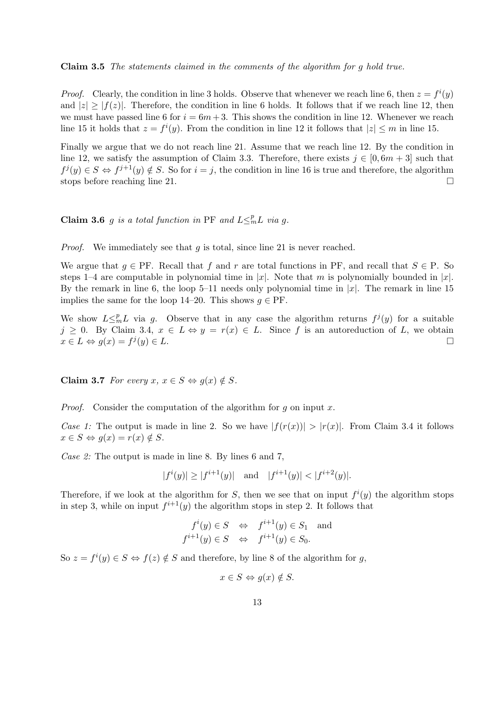#### Claim 3.5 The statements claimed in the comments of the algorithm for g hold true.

*Proof.* Clearly, the condition in line 3 holds. Observe that whenever we reach line 6, then  $z = f^{i}(y)$ and  $|z| \ge |f(z)|$ . Therefore, the condition in line 6 holds. It follows that if we reach line 12, then we must have passed line 6 for  $i = 6m+3$ . This shows the condition in line 12. Whenever we reach line 15 it holds that  $z = f^{i}(y)$ . From the condition in line 12 it follows that  $|z| \leq m$  in line 15.

Finally we argue that we do not reach line 21. Assume that we reach line 12. By the condition in line 12, we satisfy the assumption of Claim 3.3. Therefore, there exists  $j \in [0, 6m + 3]$  such that  $f^j(y) \in S \Leftrightarrow f^{j+1}(y) \notin S$ . So for  $i = j$ , the condition in line 16 is true and therefore, the algorithm stops before reaching line 21.  $\Box$ 

# **Claim 3.6** g is a total function in PF and  $L \leq_n^p L$  via g.

*Proof.* We immediately see that q is total, since line 21 is never reached.

We argue that  $q \in PF$ . Recall that f and r are total functions in PF, and recall that  $S \in P$ . So steps 1–4 are computable in polynomial time in |x|. Note that m is polynomially bounded in |x|. By the remark in line 6, the loop 5–11 needs only polynomial time in  $|x|$ . The remark in line 15 implies the same for the loop 14–20. This shows  $g \in PF$ .

We show  $L \leq_{m}^p L$  via g. Observe that in any case the algorithm returns  $f^j(y)$  for a suitable  $j \geq 0$ . By Claim 3.4,  $x \in L \Leftrightarrow y = r(x) \in L$ . Since f is an autoreduction of L, we obtain  $x \in L \Leftrightarrow q(x) = f^j(y) \in L$ .  $x \in L \Leftrightarrow g(x) = f^j$  $(y) \in L.$ 

Claim 3.7 For every  $x, x \in S \Leftrightarrow q(x) \notin S$ .

*Proof.* Consider the computation of the algorithm for g on input x.

Case 1: The output is made in line 2. So we have  $|f(r(x))| > |r(x)|$ . From Claim 3.4 it follows  $x \in S \Leftrightarrow g(x) = r(x) \notin S.$ 

Case 2: The output is made in line 8. By lines 6 and 7,

$$
|f^{i}(y)| \ge |f^{i+1}(y)| \text{ and } |f^{i+1}(y)| < |f^{i+2}(y)|.
$$

Therefore, if we look at the algorithm for S, then we see that on input  $f^{i}(y)$  the algorithm stops in step 3, while on input  $f^{i+1}(y)$  the algorithm stops in step 2. It follows that

$$
f^{i}(y) \in S \iff f^{i+1}(y) \in S_1 \text{ and}
$$
  

$$
f^{i+1}(y) \in S \iff f^{i+1}(y) \in S_0.
$$

So  $z = f^i(y) \in S \Leftrightarrow f(z) \notin S$  and therefore, by line 8 of the algorithm for g,

$$
x \in S \Leftrightarrow g(x) \notin S.
$$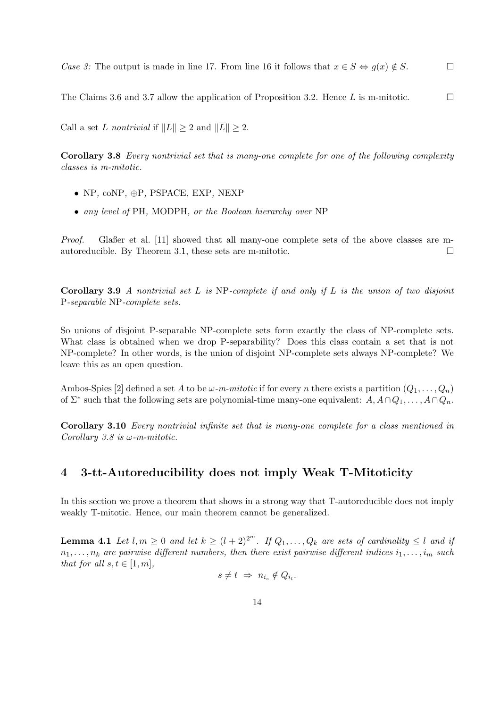Case 3: The output is made in line 17. From line 16 it follows that  $x \in S \Leftrightarrow g(x) \notin S$ .  $\Box$ 

The Claims 3.6 and 3.7 allow the application of Proposition 3.2. Hence L is m-mitotic.  $\Box$ 

Call a set L nontrivial if  $||L|| \geq 2$  and  $||\overline{L}|| \geq 2$ .

Corollary 3.8 *Every nontrivial set that is many-one complete for one of the following complexity* classes is m-mitotic.

- NP, coNP, ⊕P, PSPACE, EXP, NEXP
- any level of PH, MODPH, or the Boolean hierarchy over NP

Proof. Glaßer et al. [11] showed that all many-one complete sets of the above classes are mautoreducible. By Theorem 3.1, these sets are m-mitotic.  $\Box$ 

**Corollary 3.9** A nontrivial set  $L$  is NP-complete if and only if  $L$  is the union of two disjoint P-separable NP-complete sets.

So unions of disjoint P-separable NP-complete sets form exactly the class of NP-complete sets. What class is obtained when we drop P-separability? Does this class contain a set that is not NP-complete? In other words, is the union of disjoint NP-complete sets always NP-complete? We leave this as an open question.

Ambos-Spies [2] defined a set A to be  $\omega$ -m-mitotic if for every n there exists a partition  $(Q_1,\ldots,Q_n)$ of  $\Sigma^*$  such that the following sets are polynomial-time many-one equivalent:  $A, A \cap Q_1, \ldots, A \cap Q_n$ .

Corollary 3.10 Every nontrivial infinite set that is many-one complete for a class mentioned in Corollary 3.8 is  $\omega$ -m-mitotic.

### 4 3-tt-Autoreducibility does not imply Weak T-Mitoticity

In this section we prove a theorem that shows in a strong way that T-autoreducible does not imply weakly T-mitotic. Hence, our main theorem cannot be generalized.

**Lemma 4.1** Let  $l, m \geq 0$  and let  $k \geq (l+2)^{2^m}$ . If  $Q_1, \ldots, Q_k$  are sets of cardinality  $\leq l$  and if  $n_1,\ldots,n_k$  are pairwise different numbers, then there exist pairwise different indices  $i_1,\ldots,i_m$  such that for all  $s, t \in [1, m]$ ,

$$
s \neq t \Rightarrow n_{i_s} \notin Q_{i_t}.
$$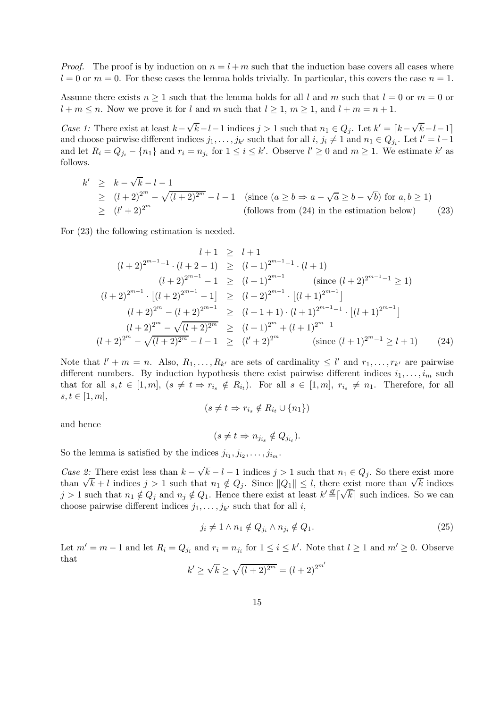*Proof.* The proof is by induction on  $n = l + m$  such that the induction base covers all cases where  $l = 0$  or  $m = 0$ . For these cases the lemma holds trivially. In particular, this covers the case  $n = 1$ .

Assume there exists  $n \geq 1$  such that the lemma holds for all l and m such that  $l = 0$  or  $m = 0$  or  $l + m \leq n$ . Now we prove it for l and m such that  $l \geq 1, m \geq 1$ , and  $l + m = n + 1$ .

Case 1: There exist at least  $k-\sqrt{k}-l-1$  indices  $j>1$  such that  $n_1 \in Q_j$ . Let  $k' = \lceil k-\sqrt{k}-l-1 \rceil$ and choose pairwise different indices  $j_1, \ldots, j_{k'}$  such that for all  $i, j_i \neq 1$  and  $n_1 \in Q_{j_i}$ . Let  $l' = l - 1$ and let  $R_i = Q_{j_i} - \{n_1\}$  and  $r_i = n_{j_i}$  for  $1 \le i \le k'$ . Observe  $l' \ge 0$  and  $m \ge 1$ . We estimate k' as follows.

$$
k' \geq k - \sqrt{k} - l - 1
$$
  
\n
$$
\geq (l+2)^{2^m} - \sqrt{(l+2)^{2^m}} - l - 1
$$
 (since  $(a \geq b \Rightarrow a - \sqrt{a} \geq b - \sqrt{b})$  for  $a, b \geq 1$ )  
\n
$$
\geq (l'+2)^{2^m}
$$
 (follows from (24) in the estimation below) (23)

For (23) the following estimation is needed.

$$
l+1 \geq l+1
$$
  
\n
$$
(l+2)^{2^{m-1}-1} \cdot (l+2-1) \geq (l+1)^{2^{m-1}-1} \cdot (l+1)
$$
  
\n
$$
(l+2)^{2^{m-1}}-1 \geq (l+1)^{2^{m-1}} \quad \text{(since } (l+2)^{2^{m-1}-1} \geq 1)
$$
  
\n
$$
(l+2)^{2^{m-1}} \cdot \left[ (l+2)^{2^{m-1}}-1 \right] \geq (l+2)^{2^{m-1}} \cdot \left[ (l+1)^{2^{m-1}} \right]
$$
  
\n
$$
(l+2)^{2^{m}} - (l+2)^{2^{m-1}} \geq (l+1+1) \cdot (l+1)^{2^{m-1}-1} \cdot \left[ (l+1)^{2^{m-1}} \right]
$$
  
\n
$$
(l+2)^{2^{m}} - \sqrt{(l+2)^{2^{m}}} \geq (l+1)^{2^{m}} + (l+1)^{2^{m}-1}
$$
  
\n
$$
(l+2)^{2^{m}} - \sqrt{(l+2)^{2^{m}}} - l - 1 \geq (l'+2)^{2^{m}} \quad \text{(since } (l+1)^{2^{m}-1} \geq l+1) \tag{24}
$$

Note that  $l' + m = n$ . Also,  $R_1, \ldots, R_{k'}$  are sets of cardinality  $\leq l'$  and  $r_1, \ldots, r_{k'}$  are pairwise different numbers. By induction hypothesis there exist pairwise different indices  $i_1, \ldots, i_m$  such that for all  $s, t \in [1, m]$ ,  $(s \neq t \Rightarrow r_{i_s} \notin R_{i_t})$ . For all  $s \in [1, m]$ ,  $r_{i_s} \neq n_1$ . Therefore, for all  $s, t \in [1, m],$ 

$$
(s \neq t \Rightarrow r_{i_s} \notin R_{i_t} \cup \{n_1\})
$$

and hence

$$
(s \neq t \Rightarrow n_{j_{i_s}} \notin Q_{j_{i_t}}).
$$

So the lemma is satisfied by the indices  $j_{i_1}, j_{i_2}, \ldots, j_{i_m}$ .

Case 2: There exist less than  $k - \sqrt{k} - l - 1$  indices  $j > 1$  such that  $n_1 \in Q_j$ . So there exist more than  $\sqrt{k} + l$  indices  $j > 1$  such that  $n_1 \notin Q_j$ . Since  $||Q_1|| \leq l$ , there exist more than  $\sqrt{k}$  indices  $j > 1$  such that  $n_1 \notin Q_j$  and  $n_j \notin Q_1$ . Hence there exist at least  $k' \stackrel{\text{df}}{=} \lceil \sqrt{k} \rceil$  such indices. So we can choose pairwise different indices  $j_1, \ldots, j_{k'}$  such that for all i,

$$
j_i \neq 1 \land n_1 \notin Q_{j_i} \land n_{j_i} \notin Q_1. \tag{25}
$$

Let  $m' = m - 1$  and let  $R_i = Q_{j_i}$  and  $r_i = n_{j_i}$  for  $1 \le i \le k'$ . Note that  $l \ge 1$  and  $m' \ge 0$ . Observe that

$$
k' \ge \sqrt{k} \ge \sqrt{(l+2)^{2^m}} = (l+2)^{2^{m'}}
$$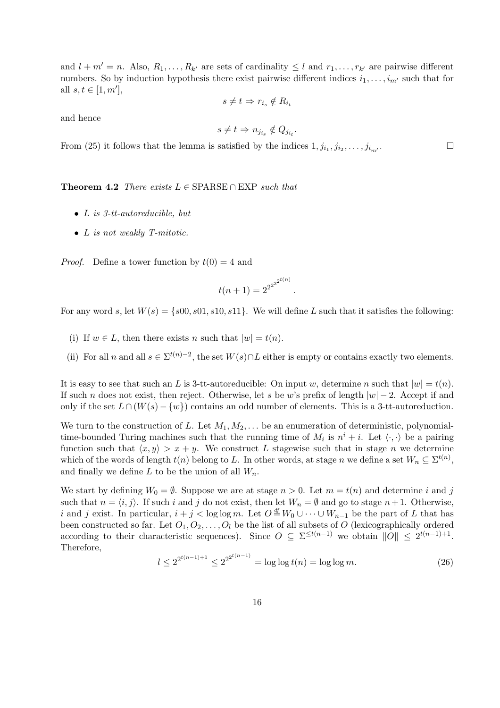and  $l + m' = n$ . Also,  $R_1, \ldots, R_{k'}$  are sets of cardinality  $\leq l$  and  $r_1, \ldots, r_{k'}$  are pairwise different numbers. So by induction hypothesis there exist pairwise different indices  $i_1, \ldots, i_{m'}$  such that for all  $s, t \in [1, m'],$ 

$$
s \neq t \Rightarrow r_{i_s} \notin R_{i_t}
$$

and hence

$$
s \neq t \Rightarrow n_{j_{i_s}} \notin Q_{j_{i_t}}.
$$

From (25) it follows that the lemma is satisfied by the indices  $1, j_{i_1}, j_{i_2}, \ldots, j_{i_{m'}}$ .  $\Box$ 

**Theorem 4.2** There exists  $L \in \text{SPARSE} \cap \text{EXP} \text{ such that}$ 

- L is 3-tt-autoreducible, but
- L is not weakly T-mitotic.

*Proof.* Define a tower function by  $t(0) = 4$  and

$$
t(n+1) = 2^{2^{2^{2^{2^{t(n)}}}}}.
$$

For any word s, let  $W(s) = \{s00, s01, s10, s11\}$ . We will define L such that it satisfies the following:

- (i) If  $w \in L$ , then there exists n such that  $|w| = t(n)$ .
- (ii) For all n and all  $s \in \Sigma^{t(n)-2}$ , the set  $W(s) \cap L$  either is empty or contains exactly two elements.

It is easy to see that such an L is 3-tt-autoreducible: On input w, determine n such that  $|w| = t(n)$ . If such n does not exist, then reject. Otherwise, let s be w's prefix of length  $|w| - 2$ . Accept if and only if the set  $L \cap (W(s) - \{w\})$  contains an odd number of elements. This is a 3-tt-autoreduction.

We turn to the construction of L. Let  $M_1, M_2, \ldots$  be an enumeration of deterministic, polynomialtime-bounded Turing machines such that the running time of  $M_i$  is  $n^i + i$ . Let  $\langle \cdot, \cdot \rangle$  be a pairing function such that  $\langle x,y\rangle > x + y$ . We construct L stagewise such that in stage n we determine which of the words of length  $t(n)$  belong to L. In other words, at stage n we define a set  $W_n \subseteq \Sigma^{t(n)}$ , and finally we define  $L$  to be the union of all  $W_n$ .

We start by defining  $W_0 = \emptyset$ . Suppose we are at stage  $n > 0$ . Let  $m = t(n)$  and determine i and j such that  $n = \langle i, j \rangle$ . If such i and j do not exist, then let  $W_n = \emptyset$  and go to stage  $n+1$ . Otherwise, i and j exist. In particular,  $i + j < \log \log m$ . Let  $O \stackrel{df}{=} W_0 \cup \cdots \cup W_{n-1}$  be the part of L that has been constructed so far. Let  $O_1, O_2, \ldots, O_l$  be the list of all subsets of O (lexicographically ordered according to their characteristic sequences). Since  $O \subseteq \Sigma^{\leq t(n-1)}$  we obtain  $||O|| \leq 2^{t(n-1)+1}$ . Therefore,

$$
l \le 2^{2^{t(n-1)+1}} \le 2^{2^{2^{t(n-1)}}} = \log \log t(n) = \log \log m. \tag{26}
$$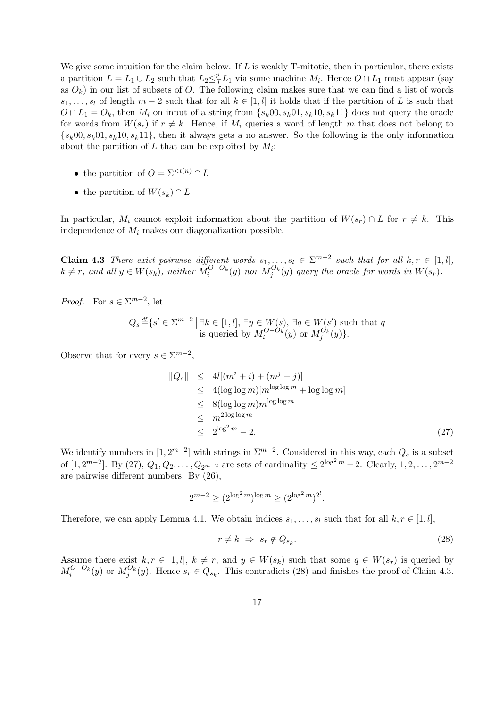We give some intuition for the claim below. If  $L$  is weakly T-mitotic, then in particular, there exists a partition  $L = L_1 \cup L_2$  such that  $L_2 \leq^p_T L_1$  via some machine  $M_i$ . Hence  $O \cap L_1$  must appear (say as  $O_k$ ) in our list of subsets of O. The following claim makes sure that we can find a list of words  $s_1, \ldots, s_l$  of length  $m-2$  such that for all  $k \in [1, l]$  it holds that if the partition of L is such that  $O \cap L_1 = O_k$ , then  $M_i$  on input of a string from  $\{s_k00, s_k01, s_k10, s_k11\}$  does not query the oracle for words from  $W(s_r)$  if  $r \neq k$ . Hence, if  $M_i$  queries a word of length m that does not belong to  ${s_k00, s_k01, s_k10, s_k11}$ , then it always gets a no answer. So the following is the only information about the partition of  $L$  that can be exploited by  $M_i$ :

- the partition of  $O = \Sigma^{< t(n)} \cap L$
- the partition of  $W(s_k) \cap L$

In particular,  $M_i$  cannot exploit information about the partition of  $W(s_r) \cap L$  for  $r \neq k$ . This independence of  $M_i$  makes our diagonalization possible.

**Claim 4.3** There exist pairwise different words  $s_1, \ldots, s_l \in \Sigma^{m-2}$  such that for all  $k, r \in [1, l],$  $k \neq r$ , and all  $y \in W(s_k)$ , neither  $\tilde{M}_i^{O-O_k}(y)$  nor  $M_j^{O_k}(y)$  query the oracle for words in  $W(s_r)$ .

*Proof.* For  $s \in \Sigma^{m-2}$ , let

$$
Q_s \stackrel{\text{df}}{=} \{ s' \in \Sigma^{m-2} \mid \exists k \in [1, l], \exists y \in W(s), \exists q \in W(s') \text{ such that } q \text{ is queried by } M_i^{O-O_k}(y) \text{ or } M_j^{O_k}(y) \}.
$$

Observe that for every  $s \in \Sigma^{m-2}$ ,

$$
||Q_s|| \le 4l[(m^i + i) + (m^j + j)]
$$
  
\n
$$
\le 4(\log \log m)[m^{\log \log m} + \log \log m]
$$
  
\n
$$
\le 8(\log \log m)m^{\log \log m}
$$
  
\n
$$
\le 2^{\log^2 m} - 2.
$$
 (27)

We identify numbers in  $[1, 2^{m-2}]$  with strings in  $\Sigma^{m-2}$ . Considered in this way, each  $Q_s$  is a subset of  $[1, 2^{m-2}]$ . By  $(27), Q_1, Q_2, \ldots, Q_{2^{m-2}}$  are sets of cardinality  $\leq 2^{\log^2 m} - 2$ . Clearly,  $1, 2, \ldots, 2^{m-2}$ are pairwise different numbers. By (26),

$$
2^{m-2} \ge (2^{\log^2 m})^{\log m} \ge (2^{\log^2 m})^{2^l}.
$$

Therefore, we can apply Lemma 4.1. We obtain indices  $s_1, \ldots, s_l$  such that for all  $k, r \in [1, l],$ 

$$
r \neq k \Rightarrow s_r \notin Q_{s_k}.\tag{28}
$$

Assume there exist  $k, r \in [1, l], k \neq r$ , and  $y \in W(s_k)$  such that some  $q \in W(s_r)$  is queried by  $M_i^{O-O_k}(y)$  or  $M_j^{O_k}(y)$ . Hence  $s_r \in Q_{s_k}$ . This contradicts (28) and finishes the proof of Claim 4.3.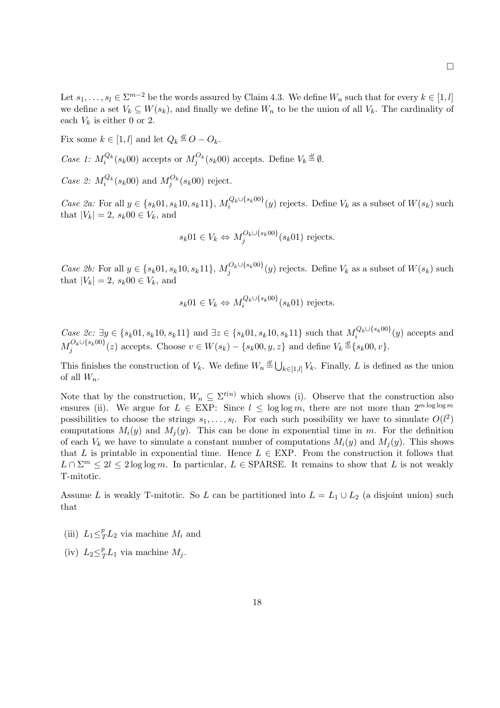Let  $s_1, \ldots, s_l \in \Sigma^{m-2}$  be the words assured by Claim 4.3. We define  $W_n$  such that for every  $k \in [1, l]$ we define a set  $V_k \subseteq W(s_k)$ , and finally we define  $W_n$  to be the union of all  $V_k$ . The cardinality of each  $V_k$  is either 0 or 2.

Fix some  $k \in [1, l]$  and let  $Q_k \stackrel{\text{df}}{=} O - O_k$ .

Case 1: 
$$
M_i^{Q_k}(s_k00)
$$
 accepts or  $M_j^{O_k}(s_k00)$  accepts. Define  $V_k \stackrel{df}{=} \emptyset$ .

Case 2:  $M_i^{Q_k}(s_k 00)$  and  $M_j^{Q_k}(s_k 00)$  reject.

Case 2a: For all  $y \in \{s_k 01, s_k 10, s_k 11\}, M_i^{Q_k \cup \{s_k 00\}}(y)$  rejects. Define  $V_k$  as a subset of  $W(s_k)$  such that  $|V_k| = 2$ ,  $s_k00 \in V_k$ , and

$$
s_k 01 \in V_k \Leftrightarrow M_j^{O_k \cup \{s_k 00\}}(s_k 01)
$$
 rejects.

Case 2b: For all  $y \in \{s_k 01, s_k 10, s_k 11\}, M_j^{O_k \cup \{s_k 00\}}(y)$  rejects. Define  $V_k$  as a subset of  $W(s_k)$  such that  $|V_k| = 2$ ,  $s_k00 \in V_k$ , and

$$
s_k 01 \in V_k \Leftrightarrow M_i^{Q_k \cup \{s_k 00\}}(s_k 01)
$$
 rejects.

Case 2c:  $\exists y \in \{s_k 01, s_k 10, s_k 11\}$  and  $\exists z \in \{s_k 01, s_k 10, s_k 11\}$  such that  $M_i^{Q_k \cup \{s_k 00\}}(y)$  accepts and  $M_j^{O_k \cup \{s_k 00\}}(z)$  accepts. Choose  $v \in W(s_k) - \{s_k 00, y, z\}$  and define  $V_k \stackrel{df}{=} \{s_k 00, v\}.$ 

This finishes the construction of  $V_k$ . We define  $W_n \stackrel{df}{=} \bigcup_{k \in [1,l]} V_k$ . Finally, L is defined as the union of all  $W_n$ .

Note that by the construction,  $W_n \subseteq \Sigma^{t(n)}$  which shows (i). Observe that the construction also ensures (ii). We argue for  $L \in EXP:$  Since  $l \leq \log \log m$ , there are not more than  $2^{m \log \log m}$ possibilities to choose the strings  $s_1, \ldots, s_l$ . For each such possibility we have to simulate  $O(l^2)$ computations  $M_i(y)$  and  $M_i(y)$ . This can be done in exponential time in m. For the definition of each  $V_k$  we have to simulate a constant number of computations  $M_i(y)$  and  $M_j(y)$ . This shows that L is printable in exponential time. Hence  $L \in EXP$ . From the construction it follows that  $L \cap \Sigma^m \leq 2l \leq 2\log\log m$ . In particular,  $L \in \text{SPARSE}$ . It remains to show that L is not weakly T-mitotic.

Assume L is weakly T-mitotic. So L can be partitioned into  $L = L_1 \cup L_2$  (a disjoint union) such that

- (iii)  $L_1 \leq_T^p L_2$  via machine  $M_i$  and
- (iv)  $L_2 \leq_T^p L_1$  via machine  $M_j$ .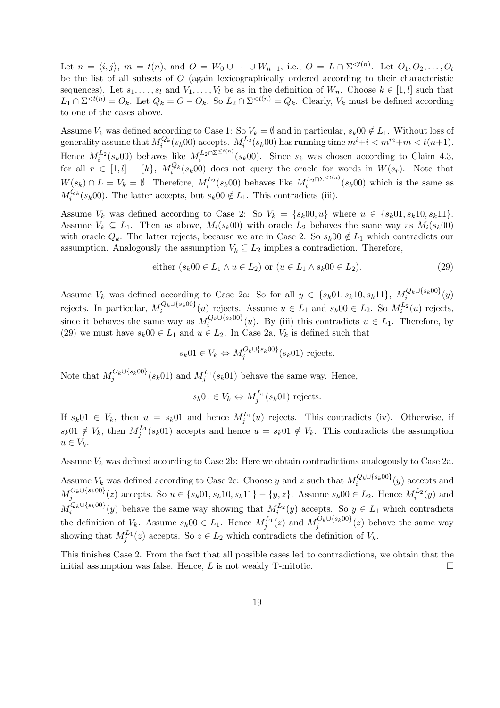Let  $n = \langle i, j \rangle$ ,  $m = t(n)$ , and  $O = W_0 \cup \cdots \cup W_{n-1}$ , i.e.,  $O = L \cap \Sigma^{lt(n)}$ . Let  $O_1, O_2, \ldots, O_l$ be the list of all subsets of  $O$  (again lexicographically ordered according to their characteristic sequences). Let  $s_1, \ldots, s_l$  and  $V_1, \ldots, V_l$  be as in the definition of  $W_n$ . Choose  $k \in [1, l]$  such that  $L_1 \cap \Sigma^{< t(n)} = O_k$ . Let  $Q_k = O - O_k$ . So  $L_2 \cap \Sigma^{< t(n)} = Q_k$ . Clearly,  $V_k$  must be defined according to one of the cases above.

Assume  $V_k$  was defined according to Case 1: So  $V_k = \emptyset$  and in particular,  $s_k00 \notin L_1$ . Without loss of generality assume that  $M_i^{Q_k}(s_k 00)$  accepts.  $M_i^{L_2}(s_k 00)$  has running time  $m^i+i < m^m+m < t(n+1)$ . Hence  $M_i^{L_2}(s_k00)$  behaves like  $M_i^{L_2(\sum 1 \leq t(n))}(s_k00)$ . Since  $s_k$  was chosen according to Claim 4.3, for all  $r \in [1, l] - \{k\}, M_i^{Q_k}(s_k, 00)$  does not query the oracle for words in  $W(s_r)$ . Note that  $W(s_k) \cap L = V_k = \emptyset$ . Therefore,  $M_i^{L_2}(s_k 00)$  behaves like  $M_i^{L_2 \cap \Sigma^{< t(n)}}(s_k 00)$  which is the same as  $M_i^{Q_k}(s_k00)$ . The latter accepts, but  $s_k00 \notin L_1$ . This contradicts (iii).

Assume  $V_k$  was defined according to Case 2: So  $V_k = \{s_k00, u\}$  where  $u \in \{s_k01, s_k10, s_k11\}$ . Assume  $V_k \subseteq L_1$ . Then as above,  $M_i(s_k,00)$  with oracle  $L_2$  behaves the same way as  $M_i(s_k,00)$ with oracle  $Q_k$ . The latter rejects, because we are in Case 2. So  $s_k00 \notin L_1$  which contradicts our assumption. Analogously the assumption  $V_k \subseteq L_2$  implies a contradiction. Therefore,

either 
$$
(s_k 00 \in L_1 \land u \in L_2)
$$
 or  $(u \in L_1 \land s_k 00 \in L_2)$ . (29)

Assume  $V_k$  was defined according to Case 2a: So for all  $y \in \{s_k 01, s_k 10, s_k 11\}, M_i^{Q_k \cup \{s_k 00\}}(y)$ rejects. In particular,  $M_i^{Q_k \cup \{s_k 00\}}(u)$  rejects. Assume  $u \in L_1$  and  $s_k 00 \in L_2$ . So  $M_i^{L_2}(u)$  rejects, since it behaves the same way as  $M_i^{Q_k \cup \{s_k\}0}$  (*u*). By (iii) this contradicts  $u \in L_1$ . Therefore, by (29) we must have  $s_k00 \in L_1$  and  $u \in L_2$ . In Case 2a,  $V_k$  is defined such that

$$
s_k 01 \in V_k \Leftrightarrow M_j^{O_k \cup \{s_k 00\}}(s_k 01)
$$
 rejects.

Note that  $M_j^{O_k \cup \{s_k 00\}}(s_k 01)$  and  $M_j^{L_1}(s_k 01)$  behave the same way. Hence,

$$
s_k 01 \in V_k \Leftrightarrow M_j^{L_1}(s_k 01)
$$
 rejects.

If  $s_k 01 \in V_k$ , then  $u = s_k 01$  and hence  $M_j^{L_1}(u)$  rejects. This contradicts (iv). Otherwise, if  $s_k01 \notin V_k$ , then  $M_j^{L_1}(s_k01)$  accepts and hence  $u = s_k01 \notin V_k$ . This contradicts the assumption  $u \in V_k$ .

Assume  $V_k$  was defined according to Case 2b: Here we obtain contradictions analogously to Case 2a.

Assume  $V_k$  was defined according to Case 2c: Choose y and z such that  $M_i^{Q_k \cup \{s_k 00\}}(y)$  accepts and  $M_j^{O_k \cup \{s_k 00\}}(z)$  accepts. So  $u \in \{s_k 01, s_k 10, s_k 11\} - \{y, z\}$ . Assume  $s_k 00 \in L_2$ . Hence  $M_i^{L_2}(y)$  and  $M_i^{Q_k \cup \{s_k 00\}}(y)$  behave the same way showing that  $M_i^{L_2}(y)$  accepts. So  $y \in L_1$  which contradicts the definition of  $V_k$ . Assume  $s_k 00 \in L_1$ . Hence  $M_j^{L_1}(z)$  and  $M_j^{O_k \cup \{s_k 00\}}(z)$  behave the same way showing that  $M_j^{L_1}(z)$  accepts. So  $z \in L_2$  which contradicts the definition of  $V_k$ .

This finishes Case 2. From the fact that all possible cases led to contradictions, we obtain that the initial assumption was false. Hence,  $L$  is not weakly T-mitotic.  $\Box$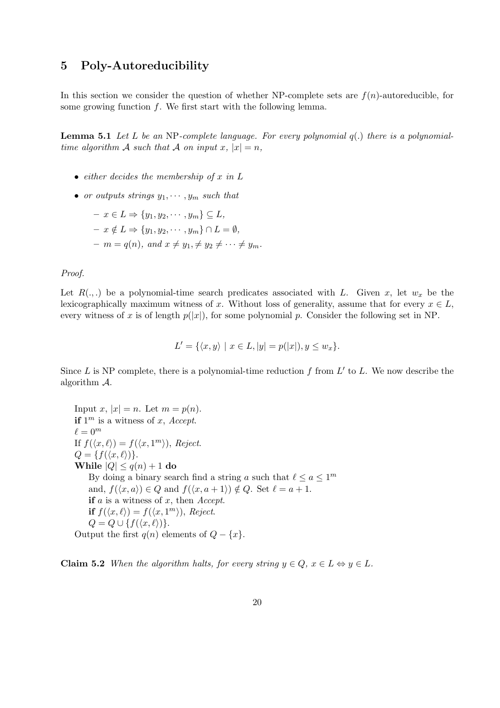## 5 Poly-Autoreducibility

In this section we consider the question of whether NP-complete sets are  $f(n)$ -autoreducible, for some growing function  $f$ . We first start with the following lemma.

**Lemma 5.1** Let L be an NP-complete language. For every polynomial  $q(.)$  there is a polynomialtime algorithm A such that A on input x,  $|x| = n$ ,

- either decides the membership of  $x$  in  $L$
- or outputs strings  $y_1, \dots, y_m$  such that
	- $x \in L \Rightarrow \{y_1, y_2, \cdots, y_m\} \subseteq L,$  $- x \notin L \Rightarrow \{y_1, y_2, \cdots, y_m\} \cap L = \emptyset,$  $-m = q(n)$ , and  $x \neq y_1, \neq y_2 \neq \cdots \neq y_m$ .

### Proof.

Let  $R(.,.)$  be a polynomial-time search predicates associated with L. Given x, let  $w_x$  be the lexicographically maximum witness of x. Without loss of generality, assume that for every  $x \in L$ , every witness of x is of length  $p(|x|)$ , for some polynomial p. Consider the following set in NP.

$$
L' = \{ \langle x, y \rangle \mid x \in L, |y| = p(|x|), y \le w_x \}.
$$

Since  $L$  is NP complete, there is a polynomial-time reduction  $f$  from  $L'$  to  $L$ . We now describe the algorithm A.

Input x,  $|x| = n$ . Let  $m = p(n)$ . if  $1^m$  is a witness of x, Accept.  $l = 0^m$ If  $f(\langle x,\ell \rangle) = f(\langle x,1^m \rangle)$ , Reject.  $Q = \{f(\langle x,\ell \rangle)\}.$ While  $|Q| \leq q(n) + 1$  do By doing a binary search find a string a such that  $\ell \le a \le 1^m$ and,  $f(\langle x,a \rangle) \in Q$  and  $f(\langle x,a+1 \rangle) \notin Q$ . Set  $\ell = a+1$ . if  $a$  is a witness of  $x$ , then  $Accept.$ if  $f(\langle x,\ell \rangle) = f(\langle x,1^m \rangle)$ , Reject.  $Q = Q \cup \{f(\langle x,\ell \rangle)\}.$ Output the first  $q(n)$  elements of  $Q - \{x\}.$ 

**Claim 5.2** When the algorithm halts, for every string  $y \in Q$ ,  $x \in L \Leftrightarrow y \in L$ .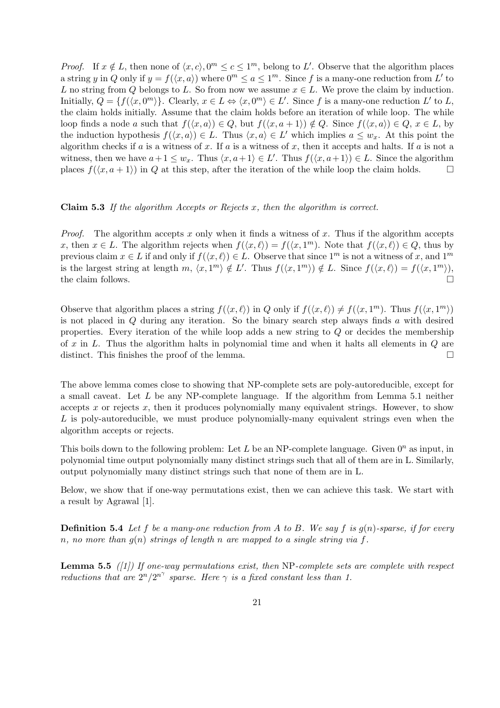*Proof.* If  $x \notin L$ , then none of  $\langle x, c \rangle$ ,  $0^m \le c \le 1^m$ , belong to L'. Observe that the algorithm places a string y in Q only if  $y = f(\langle x, a \rangle)$  where  $0^m \le a \le 1^m$ . Since f is a many-one reduction from L' to L no string from Q belongs to L. So from now we assume  $x \in L$ . We prove the claim by induction. Initially,  $Q = \{f(\langle x, 0^m \rangle)\}\)$ . Clearly,  $x \in L \Leftrightarrow \langle x, 0^m \rangle \in L'$ . Since f is a many-one reduction L' to L, the claim holds initially. Assume that the claim holds before an iteration of while loop. The while loop finds a node a such that  $f(\langle x,a\rangle) \in Q$ , but  $f(\langle x,a+1\rangle) \notin Q$ . Since  $f(\langle x,a\rangle) \in Q$ ,  $x \in L$ , by the induction hypothesis  $f(\langle x, a \rangle) \in L$ . Thus  $\langle x, a \rangle \in L'$  which implies  $a \leq w_x$ . At this point the algorithm checks if a is a witness of x. If a is a witness of x, then it accepts and halts. If a is not a witness, then we have  $a+1 \leq w_x$ . Thus  $\langle x, a+1 \rangle \in L'$ . Thus  $f(\langle x, a+1 \rangle) \in L$ . Since the algorithm places  $f(\langle x, a+1 \rangle)$  in Q at this step, after the iteration of the while loop the claim holds.  $\Box$ 

### **Claim 5.3** If the algorithm Accepts or Rejects  $x$ , then the algorithm is correct.

*Proof.* The algorithm accepts x only when it finds a witness of x. Thus if the algorithm accepts x, then  $x \in L$ . The algorithm rejects when  $f(\langle x, \ell \rangle) = f(\langle x, 1^m)$ . Note that  $f(\langle x, \ell \rangle) \in Q$ , thus by previous claim  $x \in L$  if and only if  $f(\langle x, \ell \rangle) \in L$ . Observe that since  $1^m$  is not a witness of x, and  $1^m$ is the largest string at length  $m, \langle x, 1^m \rangle \notin L'$ . Thus  $f(\langle x, 1^m \rangle) \notin L$ . Since  $f(\langle x, \ell \rangle) = f(\langle x, 1^m \rangle)$ , the claim follows.  $\Box$ 

Observe that algorithm places a string  $f(\langle x,\ell \rangle)$  in Q only if  $f(\langle x,\ell \rangle) \neq f(\langle x,1^m)$ . Thus  $f(\langle x,1^m \rangle)$ is not placed in  $Q$  during any iteration. So the binary search step always finds  $a$  with desired properties. Every iteration of the while loop adds a new string to  $Q$  or decides the membership of  $x$  in  $L$ . Thus the algorithm halts in polynomial time and when it halts all elements in  $Q$  are distinct. This finishes the proof of the lemma.  $\Box$ 

The above lemma comes close to showing that NP-complete sets are poly-autoreducible, except for a small caveat. Let L be any NP-complete language. If the algorithm from Lemma 5.1 neither accepts x or rejects x, then it produces polynomially many equivalent strings. However, to show  $L$  is poly-autoreducible, we must produce polynomially-many equivalent strings even when the algorithm accepts or rejects.

This boils down to the following problem: Let L be an NP-complete language. Given  $0^n$  as input, in polynomial time output polynomially many distinct strings such that all of them are in L. Similarly, output polynomially many distinct strings such that none of them are in L.

Below, we show that if one-way permutations exist, then we can achieve this task. We start with a result by Agrawal [1].

**Definition 5.4** Let f be a many-one reduction from A to B. We say f is  $q(n)$ -sparse, if for every n, no more than  $q(n)$  strings of length n are mapped to a single string via f.

**Lemma 5.5** ([1]) If one-way permutations exist, then NP-complete sets are complete with respect reductions that are  $2^n/2^{n^{\gamma}}$  sparse. Here  $\gamma$  is a fixed constant less than 1.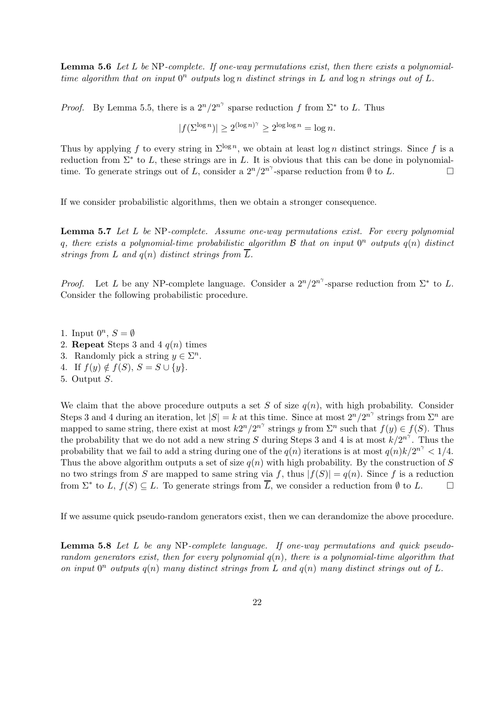**Lemma 5.6** Let L be NP-complete. If one-way permutations exist, then there exists a polynomialtime algorithm that on input  $0^n$  outputs  $\log n$  distinct strings in L and  $\log n$  strings out of L.

*Proof.* By Lemma 5.5, there is a  $2^{n}/2^{n^{\gamma}}$  sparse reduction f from  $\Sigma^*$  to L. Thus

 $|f(\Sigma^{\log n})| \geq 2^{(\log n)^{\gamma}} \geq 2^{\log \log n} = \log n.$ 

Thus by applying f to every string in  $\Sigma^{\log n}$ , we obtain at least  $\log n$  distinct strings. Since f is a reduction from  $\Sigma^*$  to L, these strings are in L. It is obvious that this can be done in polynomialtime. To generate strings out of L, consider a  $2^n/2^{n^{\gamma}}$ -sparse reduction from  $\emptyset$  to L.

If we consider probabilistic algorithms, then we obtain a stronger consequence.

**Lemma 5.7** Let L be NP-complete. Assume one-way permutations exist. For every polynomial q, there exists a polynomial-time probabilistic algorithm  $\mathcal B$  that on input  $0^n$  outputs  $q(n)$  distinct strings from L and  $q(n)$  distinct strings from  $\overline{L}$ .

*Proof.* Let L be any NP-complete language. Consider a  $2^n/2^{n^{\gamma}}$ -sparse reduction from  $\Sigma^*$  to L. Consider the following probabilistic procedure.

- 1. Input  $0^n$ ,  $S = \emptyset$ 2. Repeat Steps 3 and 4  $q(n)$  times
- 3. Randomly pick a string  $y \in \Sigma^n$ .
- 4. If  $f(y) \notin f(S)$ ,  $S = S \cup \{y\}.$
- 5. Output S.

We claim that the above procedure outputs a set S of size  $q(n)$ , with high probability. Consider Steps 3 and 4 during an iteration, let  $|S| = k$  at this time. Since at most  $2^{n}/2^{n^{\gamma}}$  strings from  $\Sigma^{n}$  are mapped to same string, there exist at most  $k2^n/2^{n^{\gamma}}$  strings y from  $\Sigma^n$  such that  $f(y) \in f(S)$ . Thus the probability that we do not add a new string S during Steps 3 and 4 is at most  $k/2^{n^{\gamma}}$ . Thus the probability that we fail to add a string during one of the  $q(n)$  iterations is at most  $q(n)k/2^{n^{\gamma}} < 1/4$ . Thus the above algorithm outputs a set of size  $q(n)$  with high probability. By the construction of S no two strings from S are mapped to same string via f, thus  $|f(S)| = q(n)$ . Since f is a reduction<br>from  $\Sigma^*$  to L,  $f(S) \subseteq L$ . To generate strings from  $\overline{L}$ , we consider a reduction from  $\emptyset$  to L. from  $\Sigma^*$  to  $L$ ,  $f(S) \subseteq L$ . To generate strings from  $\overline{L}$ , we consider a reduction from  $\emptyset$  to  $L$ .  $\Box$ 

If we assume quick pseudo-random generators exist, then we can derandomize the above procedure.

Lemma 5.8 Let L be any NP-complete language. If one-way permutations and quick pseudorandom generators exist, then for every polynomial  $q(n)$ , there is a polynomial-time algorithm that on input  $0^n$  outputs  $q(n)$  many distinct strings from L and  $q(n)$  many distinct strings out of L.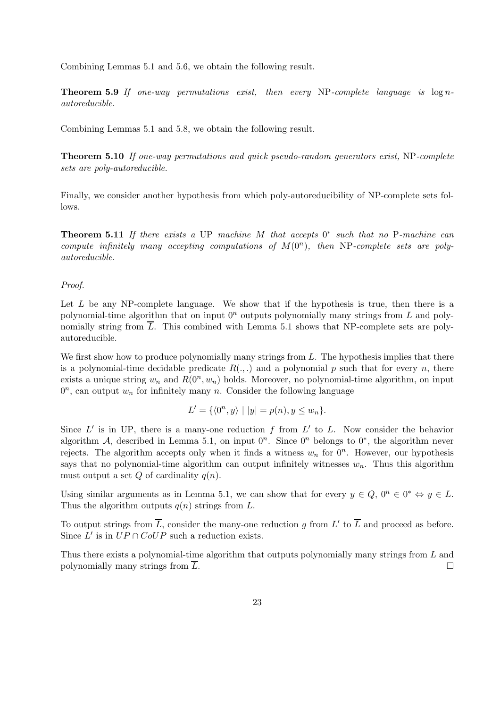Combining Lemmas 5.1 and 5.6, we obtain the following result.

**Theorem 5.9** If one-way permutations exist, then every NP-complete language is  $\log n$ autoreducible.

Combining Lemmas 5.1 and 5.8, we obtain the following result.

Theorem 5.10 If one-way permutations and quick pseudo-random generators exist, NP-complete sets are poly-autoreducible.

Finally, we consider another hypothesis from which poly-autoreducibility of NP-complete sets follows.

**Theorem 5.11** If there exists a UP machine M that accepts  $0^*$  such that no P-machine can compute infinitely many accepting computations of  $M(0^n)$ , then NP-complete sets are polyautoreducible.

### Proof.

Let  $L$  be any NP-complete language. We show that if the hypothesis is true, then there is a polynomial-time algorithm that on input  $0<sup>n</sup>$  outputs polynomially many strings from L and polynomially string from  $\overline{L}$ . This combined with Lemma 5.1 shows that NP-complete sets are polyautoreducible.

We first show how to produce polynomially many strings from  $L$ . The hypothesis implies that there is a polynomial-time decidable predicate  $R(.,.)$  and a polynomial p such that for every n, there exists a unique string  $w_n$  and  $R(0^n, w_n)$  holds. Moreover, no polynomial-time algorithm, on input  $0<sup>n</sup>$ , can output  $w<sub>n</sub>$  for infinitely many n. Consider the following language

$$
L' = \{ \langle 0^n, y \rangle \mid |y| = p(n), y \le w_n \}.
$$

Since  $L'$  is in UP, there is a many-one reduction f from  $L'$  to L. Now consider the behavior algorithm A, described in Lemma 5.1, on input  $0^n$ . Since  $0^n$  belongs to  $0^*$ , the algorithm never rejects. The algorithm accepts only when it finds a witness  $w_n$  for  $0^n$ . However, our hypothesis says that no polynomial-time algorithm can output infinitely witnesses  $w_n$ . Thus this algorithm must output a set  $Q$  of cardinality  $q(n)$ .

Using similar arguments as in Lemma 5.1, we can show that for every  $y \in Q$ ,  $0^n \in 0^* \Leftrightarrow y \in L$ . Thus the algorithm outputs  $q(n)$  strings from L.

To output strings from  $\overline{L}$ , consider the many-one reduction g from  $L'$  to  $\overline{L}$  and proceed as before. Since  $L'$  is in  $UP \cap CoUP$  such a reduction exists.

Thus there exists a polynomial-time algorithm that outputs polynomially many strings from L and polynomially many strings from  $\overline{L}$ .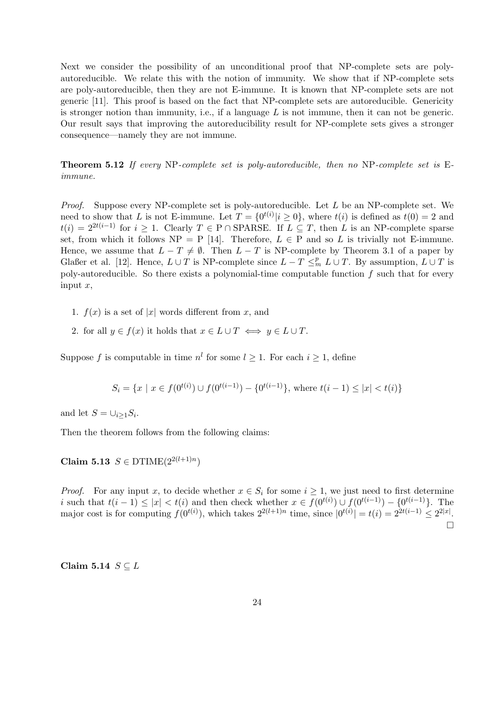Next we consider the possibility of an unconditional proof that NP-complete sets are polyautoreducible. We relate this with the notion of immunity. We show that if NP-complete sets are poly-autoreducible, then they are not E-immune. It is known that NP-complete sets are not generic [11]. This proof is based on the fact that NP-complete sets are autoreducible. Genericity is stronger notion than immunity, i.e., if a language  $L$  is not immune, then it can not be generic. Our result says that improving the autoreducibility result for NP-complete sets gives a stronger consequence—namely they are not immune.

Theorem 5.12 If every NP-complete set is poly-autoreducible, then no NP-complete set is Eimmune.

*Proof.* Suppose every NP-complete set is poly-autoreducible. Let  $L$  be an NP-complete set. We need to show that L is not E-immune. Let  $T = \{0^{t(i)} | i \ge 0\}$ , where  $t(i)$  is defined as  $t(0) = 2$  and  $t(i) = 2^{2t(i-1)}$  for  $i \geq 1$ . Clearly  $T \in P \cap$  SPARSE. If  $L \subseteq T$ , then L is an NP-complete sparse set, from which it follows  $NP = P$  [14]. Therefore,  $L \in P$  and so L is trivially not E-immune. Hence, we assume that  $L - T \neq \emptyset$ . Then  $L - T$  is NP-complete by Theorem 3.1 of a paper by Glaßer et al. [12]. Hence,  $L \cup T$  is NP-complete since  $L - T \leq_m^p L \cup T$ . By assumption,  $L \cup T$  is poly-autoreducible. So there exists a polynomial-time computable function  $f$  such that for every input  $x$ ,

- 1.  $f(x)$  is a set of |x| words different from x, and
- 2. for all  $y \in f(x)$  it holds that  $x \in L \cup T \iff y \in L \cup T$ .

Suppose f is computable in time  $n^l$  for some  $l \geq 1$ . For each  $i \geq 1$ , define

$$
S_i = \{x \mid x \in f(0^{t(i)}) \cup f(0^{t(i-1)}) - \{0^{t(i-1)}\}, \text{ where } t(i-1) \leq |x| < t(i)\}
$$

and let  $S = \cup_{i \geq 1} S_i$ .

Then the theorem follows from the following claims:

**Claim 5.13**  $S \in \text{DTIME}(2^{2(l+1)n})$ 

*Proof.* For any input x, to decide whether  $x \in S_i$  for some  $i \geq 1$ , we just need to first determine i such that  $t(i-1) \leq |x| < t(i)$  and then check whether  $x \in f(0^{t(i)}) \cup f(0^{t(i-1)}) - \{0^{t(i-1)}\}\.$  The major cost is for computing  $f(0^{t(i)})$ , which takes  $2^{2(l+1)n}$  time, since  $|0^{t(i)}| = t(i) = 2^{2t(i-1)} \le 2^{2|x|}$ .  $\Box$ 

Claim 5.14  $S \subseteq L$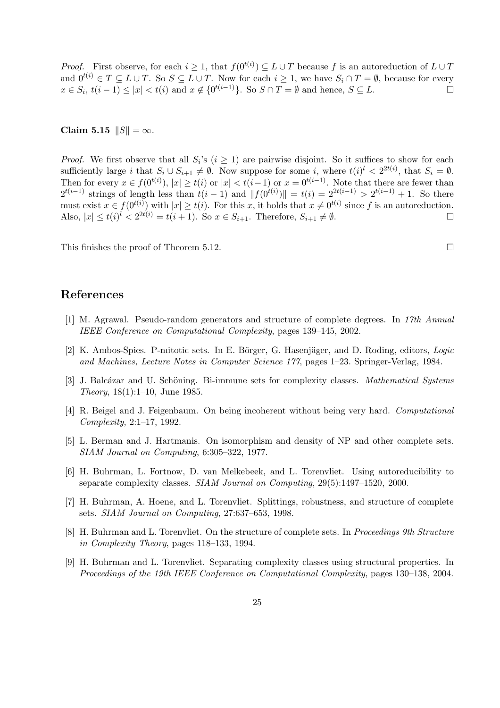*Proof.* First observe, for each  $i \geq 1$ , that  $f(0^{t(i)}) \subseteq L \cup T$  because f is an autoreduction of  $L \cup T$ and  $0^{t(i)} \in T \subseteq L \cup T$ . So  $S \subseteq L \cup T$ . Now for each  $i \geq 1$ , we have  $S_i \cap T = \emptyset$ , because for every  $x \in S_i$ ,  $t(i-1) \leq |x| < t(i)$  and  $x \notin \{0^{t(i-1)}\}$ . So  $S \cap T = \emptyset$  and hence,  $S \subseteq L$ .  $x \in S_i$ ,  $t(i-1) \leq |x| < t(i)$  and  $x \notin \{0^{t(i-1)}\}$ . So  $S \cap T = \emptyset$  and hence,  $S \subseteq L$ .

Claim 5.15  $||S|| = \infty$ .

*Proof.* We first observe that all  $S_i$ 's  $(i \geq 1)$  are pairwise disjoint. So it suffices to show for each sufficiently large i that  $S_i \cup S_{i+1} \neq \emptyset$ . Now suppose for some i, where  $t(i)^l < 2^{2t(i)}$ , that  $S_i = \emptyset$ . Then for every  $x \in f(0^{t(i)})$ ,  $|x| \ge t(i)$  or  $|x| < t(i-1)$  or  $x = 0^{t(i-1)}$ . Note that there are fewer than  $2^{t(i-1)}$  strings of length less than  $t(i-1)$  and  $||f(0^{t(i)})|| = t(i) = 2^{2t(i-1)} > 2^{t(i-1)} + 1$ . So there must exist  $x \in f(0^{t(i)})$  with  $|x| \ge t(i)$ . For this x, it holds that  $x \ne 0^{t(i)}$  since f is an autoreduction. Also,  $|x| \le t(i)^l < 2^{2t(i)} = t(i+1)$ . So  $x \in S_{i+1}$ . Therefore,  $S_{i+1} \ne \emptyset$ .

This finishes the proof of Theorem 5.12.  $\Box$ 

### References

- [1] M. Agrawal. Pseudo-random generators and structure of complete degrees. In 17th Annual IEEE Conference on Computational Complexity, pages 139–145, 2002.
- [2] K. Ambos-Spies. P-mitotic sets. In E. Börger, G. Hasenjäger, and D. Roding, editors, Logic and Machines, Lecture Notes in Computer Science 177, pages 1–23. Springer-Verlag, 1984.
- [3] J. Balcázar and U. Schöning. Bi-immune sets for complexity classes. Mathematical Systems Theory, 18(1):1–10, June 1985.
- [4] R. Beigel and J. Feigenbaum. On being incoherent without being very hard. Computational Complexity, 2:1–17, 1992.
- [5] L. Berman and J. Hartmanis. On isomorphism and density of NP and other complete sets. SIAM Journal on Computing, 6:305–322, 1977.
- [6] H. Buhrman, L. Fortnow, D. van Melkebeek, and L. Torenvliet. Using autoreducibility to separate complexity classes. SIAM Journal on Computing, 29(5):1497–1520, 2000.
- [7] H. Buhrman, A. Hoene, and L. Torenvliet. Splittings, robustness, and structure of complete sets. SIAM Journal on Computing, 27:637–653, 1998.
- [8] H. Buhrman and L. Torenvliet. On the structure of complete sets. In Proceedings 9th Structure in Complexity Theory, pages 118–133, 1994.
- [9] H. Buhrman and L. Torenvliet. Separating complexity classes using structural properties. In Proceedings of the 19th IEEE Conference on Computational Complexity, pages 130–138, 2004.